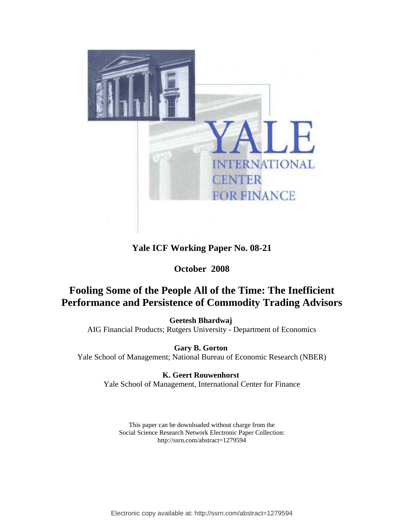

# **Yale ICF Working Paper No. 08-21**

# **October 2008**

# **Fooling Some of the People All of the Time: The Inefficient Performance and Persistence of Commodity Trading Advisors**

**[Geetesh Bhardwaj](http://papers.ssrn.com/sol3/cf_dev/AbsByAuth.cfm?per_id=397263)**  AIG Financial Products; Rutgers University - Department of Economics

**[Gary B. Gorton](http://papers.ssrn.com/sol3/cf_dev/AbsByAuth.cfm?per_id=17513)**  Yale School of Management; National Bureau of Economic Research (NBER)

> **[K. Geert Rouwenhorst](http://papers.ssrn.com/sol3/cf_dev/AbsByAuth.cfm?per_id=59592)**  Yale School of Management, International Center for Finance

This paper can be downloaded without charge from the Social Science Research Network Electronic Paper Collection: http://ssrn.com/abstract=1279594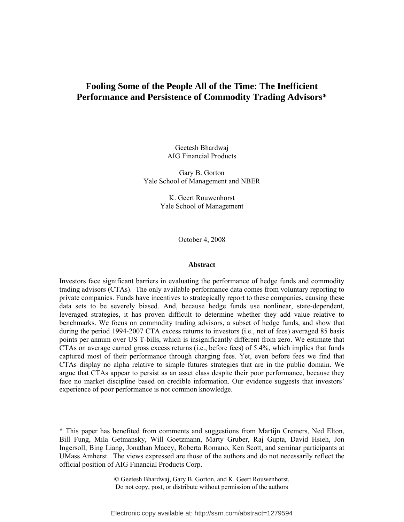# **Fooling Some of the People All of the Time: The Inefficient Performance and Persistence of Commodity Trading Advisors\***

Geetesh Bhardwaj AIG Financial Products

Gary B. Gorton Yale School of Management and NBER

> K. Geert Rouwenhorst Yale School of Management

> > October 4, 2008

#### **Abstract**

Investors face significant barriers in evaluating the performance of hedge funds and commodity trading advisors (CTAs). The only available performance data comes from voluntary reporting to private companies. Funds have incentives to strategically report to these companies, causing these data sets to be severely biased. And, because hedge funds use nonlinear, state-dependent, leveraged strategies, it has proven difficult to determine whether they add value relative to benchmarks. We focus on commodity trading advisors, a subset of hedge funds, and show that during the period 1994-2007 CTA excess returns to investors (i.e., net of fees) averaged 85 basis points per annum over US T-bills, which is insignificantly different from zero. We estimate that CTAs on average earned gross excess returns (i.e., before fees) of 5.4%, which implies that funds captured most of their performance through charging fees. Yet, even before fees we find that CTAs display no alpha relative to simple futures strategies that are in the public domain. We argue that CTAs appear to persist as an asset class despite their poor performance, because they face no market discipline based on credible information. Our evidence suggests that investors' experience of poor performance is not common knowledge.

\* This paper has benefited from comments and suggestions from Martijn Cremers, Ned Elton, Bill Fung, Mila Getmansky, Will Goetzmann, Marty Gruber, Raj Gupta, David Hsieh, Jon Ingersoll, Bing Liang, Jonathan Macey, Roberta Romano, Ken Scott, and seminar participants at UMass Amherst. The views expressed are those of the authors and do not necessarily reflect the official position of AIG Financial Products Corp.

> © Geetesh Bhardwaj, Gary B. Gorton, and K. Geert Rouwenhorst. Do not copy, post, or distribute without permission of the authors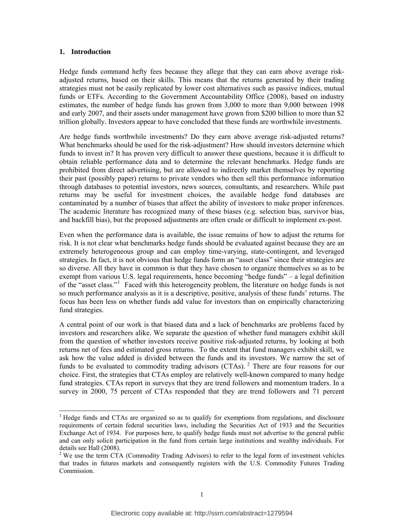### <span id="page-2-0"></span>**1. Introduction**

 $\overline{a}$ 

Hedge funds command hefty fees because they allege that they can earn above average riskadjusted returns, based on their skills. This means that the returns generated by their trading strategies must not be easily replicated by lower cost alternatives such as passive indices, mutual funds or ETFs. According to the Government Accountability Office (2008), based on industry estimates, the number of hedge funds has grown from 3,000 to more than 9,000 between 1998 and early 2007, and their assets under management have grown from \$200 billion to more than \$2 trillion globally. Investors appear to have concluded that these funds are worthwhile investments.

Are hedge funds worthwhile investments? Do they earn above average risk-adjusted returns? What benchmarks should be used for the risk-adjustment? How should investors determine which funds to invest in? It has proven very difficult to answer these questions, because it is difficult to obtain reliable performance data and to determine the relevant benchmarks. Hedge funds are prohibited from direct advertising, but are allowed to indirectly market themselves by reporting their past (possibly paper) returns to private vendors who then sell this performance information through databases to potential investors, news sources, consultants, and researchers. While past returns may be useful for investment choices, the available hedge fund databases are contaminated by a number of biases that affect the ability of investors to make proper inferences. The academic literature has recognized many of these biases (e.g. selection bias, survivor bias, and backfill bias), but the proposed adjustments are often crude or difficult to implement ex-post.

Even when the performance data is available, the issue remains of how to adjust the returns for risk. It is not clear what benchmarks hedge funds should be evaluated against because they are an extremely heterogeneous group and can employ time-varying, state-contingent, and leveraged strategies. In fact, it is not obvious that hedge funds form an "asset class" since their strategies are so diverse. All they have in common is that they have chosen to organize themselves so as to be exempt from various U.S. legal requirements, hence becoming "hedge funds" – a legal definition of the "asset class."[1](#page-2-0) Faced with this heterogeneity problem, the literature on hedge funds is not so much performance analysis as it is a descriptive, positive, analysis of these funds' returns. The focus has been less on whether funds add value for investors than on empirically characterizing fund strategies.

A central point of our work is that biased data and a lack of benchmarks are problems faced by investors and researchers alike. We separate the question of whether fund managers exhibit skill from the question of whether investors receive positive risk-adjusted returns, by looking at both returns net of fees and estimated gross returns. To the extent that fund managers exhibit skill, we ask how the value added is divided between the funds and its investors. We narrow the set of funds to be evaluated to commodity trading advisors (CTAs).<sup>[2](#page-2-1)</sup> There are four reasons for our choice. First, the strategies that CTAs employ are relatively well-known compared to many hedge fund strategies. CTAs report in surveys that they are trend followers and momentum traders. In a survey in 2000, 75 percent of CTAs responded that they are trend followers and 71 percent

<sup>&</sup>lt;sup>1</sup> Hedge funds and CTAs are organized so as to qualify for exemptions from regulations, and disclosure requirements of certain federal securities laws, including the Securities Act of 1933 and the Securities Exchange Act of 1934. For purposes here, to qualify hedge funds must not advertise to the general public and can only solicit participation in the fund from certain large institutions and wealthy individuals. For details see Hall (2008).

<span id="page-2-1"></span> $2$  We use the term CTA (Commodity Trading Advisors) to refer to the legal form of investment vehicles that trades in futures markets and consequently registers with the U.S. Commodity Futures Trading Commission.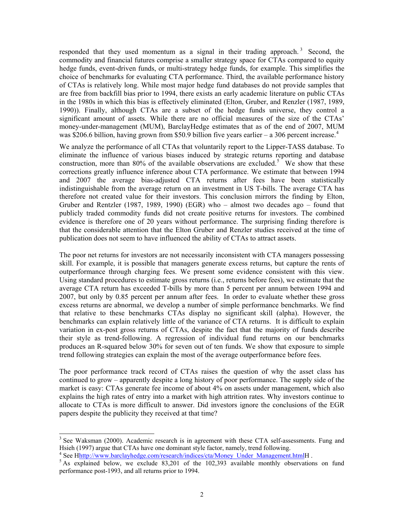responded that they used momentum as a signal in their trading approach.<sup>[3](#page-3-0)</sup> Second, the commodity and financial futures comprise a smaller strategy space for CTAs compared to equity hedge funds, event-driven funds, or multi-strategy hedge funds, for example. This simplifies the choice of benchmarks for evaluating CTA performance. Third, the available performance history of CTAs is relatively long. While most major hedge fund databases do not provide samples that are free from backfill bias prior to 1994, there exists an early academic literature on public CTAs in the 1980s in which this bias is effectively eliminated (Elton, Gruber, and Renzler (1987, 1989, 1990)). Finally, although CTAs are a subset of the hedge funds universe, they control a significant amount of assets. While there are no official measures of the size of the CTAs' money-under-management (MUM), BarclayHedge estimates that as of the end of 2007, MUM was \$206.6 billion, having grown from \$50.9 billion five years earlier – a 306 percent increase.<sup>[4](#page-3-1)</sup>

We analyze the performance of all CTAs that voluntarily report to the Lipper-TASS database. To eliminate the influence of various biases induced by strategic returns reporting and database construction, more than 80% of the available observations are excluded.<sup>[5](#page-3-2)</sup> We show that these corrections greatly influence inference about CTA performance. We estimate that between 1994 and 2007 the average bias-adjusted CTA returns after fees have been statistically indistinguishable from the average return on an investment in US T-bills. The average CTA has therefore not created value for their investors. This conclusion mirrors the finding by Elton, Gruber and Rentzler (1987, 1989, 1990) (EGR) who – almost two decades ago – found that publicly traded commodity funds did not create positive returns for investors. The combined evidence is therefore one of 20 years without performance. The surprising finding therefore is that the considerable attention that the Elton Gruber and Renzler studies received at the time of publication does not seem to have influenced the ability of CTAs to attract assets.

The poor net returns for investors are not necessarily inconsistent with CTA managers possessing skill. For example, it is possible that managers generate excess returns, but capture the rents of outperformance through charging fees. We present some evidence consistent with this view. Using standard procedures to estimate gross returns (i.e., returns before fees), we estimate that the average CTA return has exceeded T-bills by more than 5 percent per annum between 1994 and 2007, but only by 0.85 percent per annum after fees. In order to evaluate whether these gross excess returns are abnormal, we develop a number of simple performance benchmarks. We find that relative to these benchmarks CTAs display no significant skill (alpha). However, the benchmarks can explain relatively little of the variance of CTA returns. It is difficult to explain variation in ex-post gross returns of CTAs, despite the fact that the majority of funds describe their style as trend-following. A regression of individual fund returns on our benchmarks produces an R-squared below 30% for seven out of ten funds. We show that exposure to simple trend following strategies can explain the most of the average outperformance before fees.

The poor performance track record of CTAs raises the question of why the asset class has continued to grow – apparently despite a long history of poor performance. The supply side of the market is easy: CTAs generate fee income of about 4% on assets under management, which also explains the high rates of entry into a market with high attrition rates. Why investors continue to allocate to CTAs is more difficult to answer. Did investors ignore the conclusions of the EGR papers despite the publicity they received at that time?

 $\overline{a}$ 

<span id="page-3-0"></span> $3$  See Waksman (2000). Academic research is in agreement with these CTA self-assessments. Fung and Hsieh (1997) argue that CTAs have one dominant style factor, namely, trend following.

<sup>4</sup> See Hhttp://www.barclayhedge.com/research/indices/cta/Money Under Management.htmlH.

<span id="page-3-2"></span><span id="page-3-1"></span> $5$  As explained below, we exclude 83,201 of the 102,393 available monthly observations on fund performance post-1993, and all returns prior to 1994.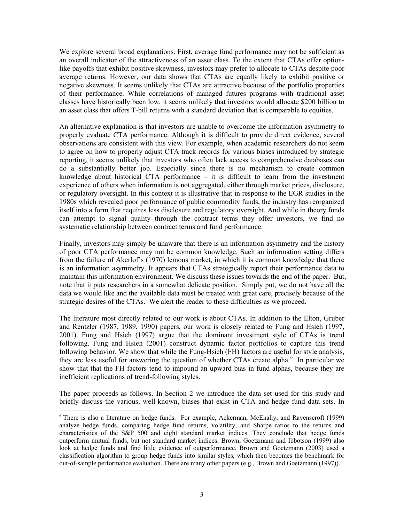We explore several broad explanations. First, average fund performance may not be sufficient as an overall indicator of the attractiveness of an asset class. To the extent that CTAs offer optionlike payoffs that exhibit positive skewness, investors may prefer to allocate to CTAs despite poor average returns. However, our data shows that CTAs are equally likely to exhibit positive or negative skewness. It seems unlikely that CTAs are attractive because of the portfolio properties of their performance. While correlations of managed futures programs with traditional asset classes have historically been low, it seems unlikely that investors would allocate \$200 billion to an asset class that offers T-bill returns with a standard deviation that is comparable to equities.

An alternative explanation is that investors are unable to overcome the information asymmetry to properly evaluate CTA performance. Although it is difficult to provide direct evidence, several observations are consistent with this view. For example, when academic researchers do not seem to agree on how to properly adjust CTA track records for various biases introduced by strategic reporting, it seems unlikely that investors who often lack access to comprehensive databases can do a substantially better job. Especially since there is no mechanism to create common knowledge about historical CTA performance – it is difficult to learn from the investment experience of others when information is not aggregated, either through market prices, disclosure, or regulatory oversight. In this context it is illustrative that in response to the EGR studies in the 1980s which revealed poor performance of public commodity funds, the industry has reorganized itself into a form that requires less disclosure and regulatory oversight. And while in theory funds can attempt to signal quality through the contract terms they offer investors, we find no systematic relationship between contract terms and fund performance.

Finally, investors may simply be unaware that there is an information asymmetry and the history of poor CTA performance may not be common knowledge. Such an information setting differs from the failure of Akerlof's (1970) lemons market, in which it is common knowledge that there is an information asymmetry. It appears that CTAs strategically report their performance data to maintain this information environment. We discuss these issues towards the end of the paper. But, note that it puts researchers in a somewhat delicate position. Simply put, we do not have all the data we would like and the available data must be treated with great care, precisely because of the strategic desires of the CTAs. We alert the reader to these difficulties as we proceed.

The literature most directly related to our work is about CTAs. In addition to the Elton, Gruber and Rentzler (1987, 1989, 1990) papers, our work is closely related to Fung and Hsieh (1997, 2001). Fung and Hsieh (1997) argue that the dominant investment style of CTAs is trend following. Fung and Hsieh (2001) construct dynamic factor portfolios to capture this trend following behavior. We show that while the Fung-Hsieh (FH) factors are useful for style analysis, they are less useful for answering the question of whether CTAs create alpha.<sup>[6](#page-4-0)</sup> In particular we show that that the FH factors tend to impound an upward bias in fund alphas, because they are inefficient replications of trend-following styles.

The paper proceeds as follows. In Section 2 we introduce the data set used for this study and briefly discuss the various, well-known, biases that exist in CTA and hedge fund data sets. In

 $\overline{a}$ 

<span id="page-4-0"></span><sup>&</sup>lt;sup>6</sup> There is also a literature on hedge funds. For example, Ackerman, McEnally, and Ravenscroft (1999) analyze hedge funds, comparing hedge fund returns, volatility, and Sharpe ratios to the returns and characteristics of the S&P 500 and eight standard market indices. They conclude that hedge funds outperform mutual funds, but not standard market indices. Brown, Goetzmann and Ibbotson (1999) also look at hedge funds and find little evidence of outperformance. Brown and Goetzmann (2003) used a classification algorithm to group hedge funds into similar styles, which then becomes the benchmark for out-of-sample performance evaluation. There are many other papers (e.g., Brown and Goetzmann (1997)).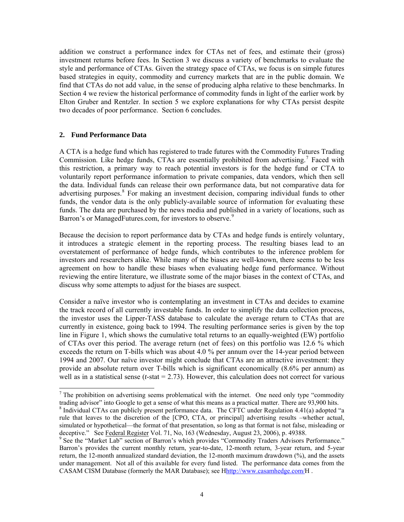<span id="page-5-0"></span>addition we construct a performance index for CTAs net of fees, and estimate their (gross) investment returns before fees. In Section 3 we discuss a variety of benchmarks to evaluate the style and performance of CTAs. Given the strategy space of CTAs, we focus is on simple futures based strategies in equity, commodity and currency markets that are in the public domain. We find that CTAs do not add value, in the sense of producing alpha relative to these benchmarks. In Section 4 we review the historical performance of commodity funds in light of the earlier work by Elton Gruber and Rentzler. In section 5 we explore explanations for why CTAs persist despite two decades of poor performance. Section 6 concludes.

# **2. Fund Performance Data**

 $\overline{a}$ 

A CTA is a hedge fund which has registered to trade futures with the Commodity Futures Trading Commission. Like hedge funds, CTAs are essentially prohibited from advertising.<sup>[7](#page-5-0)</sup> Faced with this restriction, a primary way to reach potential investors is for the hedge fund or CTA to voluntarily report performance information to private companies, data vendors, which then sell the data. Individual funds can release their own performance data, but not comparative data for advertising purposes.<sup>[8](#page-5-0)</sup> For making an investment decision, comparing individual funds to other funds, the vendor data is the only publicly-available source of information for evaluating these funds. The data are purchased by the news media and published in a variety of locations, such as Barron's or ManagedFutures.com, for investors to observe.<sup>[9](#page-5-0)</sup>

Because the decision to report performance data by CTAs and hedge funds is entirely voluntary, it introduces a strategic element in the reporting process. The resulting biases lead to an overstatement of performance of hedge funds, which contributes to the inference problem for investors and researchers alike. While many of the biases are well-known, there seems to be less agreement on how to handle these biases when evaluating hedge fund performance. Without reviewing the entire literature, we illustrate some of the major biases in the context of CTAs, and discuss why some attempts to adjust for the biases are suspect.

Consider a naïve investor who is contemplating an investment in CTAs and decides to examine the track record of all currently investable funds. In order to simplify the data collection process, the investor uses the Lipper-TASS database to calculate the average return to CTAs that are currently in existence, going back to 1994. The resulting performance series is given by the top line in Figure 1, which shows the cumulative total returns to an equally-weighted (EW) portfolio of CTAs over this period. The average return (net of fees) on this portfolio was 12.6 % which exceeds the return on T-bills which was about 4.0 % per annum over the 14-year period between 1994 and 2007. Our naïve investor might conclude that CTAs are an attractive investment: they provide an absolute return over T-bills which is significant economically (8.6% per annum) as well as in a statistical sense  $(t$ -stat  $= 2.73)$ . However, this calculation does not correct for various

<sup>&</sup>lt;sup>7</sup> The prohibition on advertising seems problematical with the internet. One need only type "commodity" trading advisor" into Google to get a sense of what this means as a practical matter. There are 93,900 hits.

 $8$  Individual CTAs can publicly present performance data. The CFTC under Regulation 4.41(a) adopted "a rule that leaves to the discretion of the [CPO, CTA, or principal] advertising results –whether actual, simulated or hypothetical—the format of that presentation, so long as that format is not false, misleading or deceptive." See Federal Register Vol. 71, No. 163 (Wednesday, August 23, 2006), p. 49388.

<sup>&</sup>lt;sup>9</sup> See the "Market Lab" section of Barron's which provides "Commodity Traders Advisors Performance." Barron's provides the current monthly return, year-to-date, 12-month return, 3-year return, and 5-year return, the 12-month annualized standard deviation, the 12-month maximum drawdown (%), and the assets under management. Not all of this available for every fund listed. The performance data comes from the CASAM CISM Database (formerly the MAR Database); see Hhttp://www.casamhedge.com/H.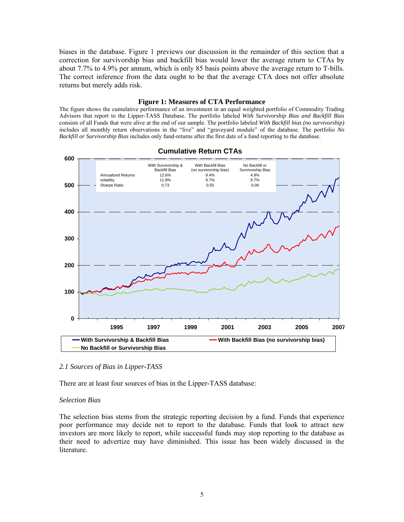biases in the database. Figure 1 previews our discussion in the remainder of this section that a correction for survivorship bias and backfill bias would lower the average return to CTAs by about 7.7% to 4.9% per annum, which is only 85 basis points above the average return to T-bills. The correct inference from the data ought to be that the average CTA does not offer absolute returns but merely adds risk.

### **Figure 1: Measures of CTA Performance**

The figure shows the cumulative performance of an investment in an equal weighted portfolio of Commodity Trading Advisors that report to the Lipper-TASS Database. The portfolio labeled *With Survivorship Bias and Backfill Bias* consists of all Funds that were alive at the end of our sample. The portfolio labeled *With Backfill bias (no survivorship)* includes all monthly return observations in the "live" and "graveyard module" of the database. The portfolio *No Backfill or Survivorship Bias* includes only fund-returns after the first date of a fund reporting to the database.



# **Cumulative Return CTAs**

# *2.1 Sources of Bias in Lipper-TASS*

There are at least four sources of bias in the Lipper-TASS database:

### *Selection Bias*

The selection bias stems from the strategic reporting decision by a fund. Funds that experience poor performance may decide not to report to the database. Funds that look to attract new investors are more likely to report, while successful funds may stop reporting to the database as their need to advertize may have diminished. This issue has been widely discussed in the literature.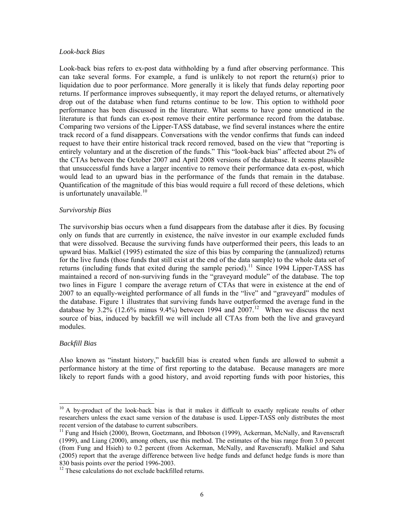### <span id="page-7-0"></span>*Look-back Bias*

Look-back bias refers to ex-post data withholding by a fund after observing performance. This can take several forms. For example, a fund is unlikely to not report the return(s) prior to liquidation due to poor performance. More generally it is likely that funds delay reporting poor returns. If performance improves subsequently, it may report the delayed returns, or alternatively drop out of the database when fund returns continue to be low. This option to withhold poor performance has been discussed in the literature. What seems to have gone unnoticed in the literature is that funds can ex-post remove their entire performance record from the database. Comparing two versions of the Lipper-TASS database, we find several instances where the entire track record of a fund disappears. Conversations with the vendor confirms that funds can indeed request to have their entire historical track record removed, based on the view that "reporting is entirely voluntary and at the discretion of the funds." This "look-back bias" affected about 2% of the CTAs between the October 2007 and April 2008 versions of the database. It seems plausible that unsuccessful funds have a larger incentive to remove their performance data ex-post, which would lead to an upward bias in the performance of the funds that remain in the database. Quantification of the magnitude of this bias would require a full record of these deletions, which is unfortunately unavailable.<sup>[10](#page-7-0)</sup>

### *Survivorship Bias*

The survivorship bias occurs when a fund disappears from the database after it dies. By focusing only on funds that are currently in existence, the naïve investor in our example excluded funds that were dissolved. Because the surviving funds have outperformed their peers, this leads to an upward bias. Malkiel (1995) estimated the size of this bias by comparing the (annualized) returns for the live funds (those funds that still exist at the end of the data sample) to the whole data set of returns (including funds that exited during the sample period).<sup>[11](#page-7-0)</sup> Since 1994 Lipper-TASS has maintained a record of non-surviving funds in the "graveyard module" of the database. The top two lines in Figure 1 compare the average return of CTAs that were in existence at the end of 2007 to an equally-weighted performance of all funds in the "live" and "graveyard" modules of the database. Figure 1 illustrates that surviving funds have outperformed the average fund in the database by  $3.2\%$  ([12](#page-7-0).6% minus 9.4%) between 1994 and  $2007$ .<sup>12</sup> When we discuss the next source of bias, induced by backfill we will include all CTAs from both the live and graveyard modules.

# *Backfill Bias*

 $\overline{a}$ 

Also known as "instant history," backfill bias is created when funds are allowed to submit a performance history at the time of first reporting to the database. Because managers are more likely to report funds with a good history, and avoid reporting funds with poor histories, this

<sup>&</sup>lt;sup>10</sup> A by-product of the look-back bias is that it makes it difficult to exactly replicate results of other researchers unless the exact same version of the database is used. Lipper-TASS only distributes the most recent version of the database to current subscribers.<br><sup>11</sup> Fung and Hsieh (2000), Brown, Goetzmann, and Ibbotson (1999), Ackerman, McNally, and Ravenscraft

<sup>(1999),</sup> and Liang (2000), among others, use this method. The estimates of the bias range from 3.0 percent (from Fung and Hsieh) to 0.2 percent (from Ackerman, McNally, and Ravenscraft). Malkiel and Saha (2005) report that the average difference between live hedge funds and defunct hedge funds is more than 830 basis points over the period 1996-2003.

<sup>&</sup>lt;sup>12</sup> These calculations do not exclude backfilled returns.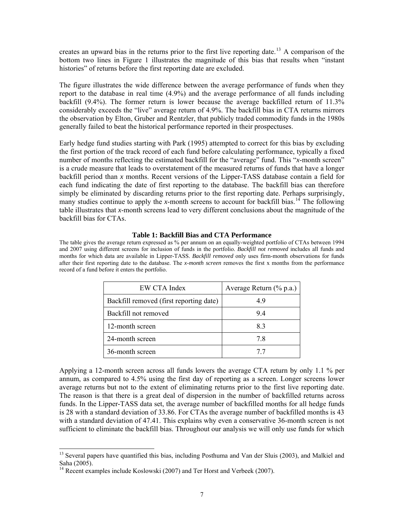<span id="page-8-0"></span>creates an upward bias in the returns prior to the first live reporting date.<sup>[13](#page-8-0)</sup> A comparison of the bottom two lines in Figure 1 illustrates the magnitude of this bias that results when "instant histories" of returns before the first reporting date are excluded.

The figure illustrates the wide difference between the average performance of funds when they report to the database in real time (4.9%) and the average performance of all funds including backfill (9.4%). The former return is lower because the average backfilled return of 11.3% considerably exceeds the "live" average return of 4.9%. The backfill bias in CTA returns mirrors the observation by Elton, Gruber and Rentzler, that publicly traded commodity funds in the 1980s generally failed to beat the historical performance reported in their prospectuses.

Early hedge fund studies starting with Park (1995) attempted to correct for this bias by excluding the first portion of the track record of each fund before calculating performance, typically a fixed number of months reflecting the estimated backfill for the "average" fund. This "*x*-month screen" is a crude measure that leads to overstatement of the measured returns of funds that have a longer backfill period than *x* months. Recent versions of the Lipper-TASS database contain a field for each fund indicating the date of first reporting to the database. The backfill bias can therefore simply be eliminated by discarding returns prior to the first reporting date. Perhaps surprisingly, many studies continue to apply the *x*-month screens to account for backfill bias.<sup>[14](#page-8-0)</sup> The following table illustrates that *x*-month screens lead to very different conclusions about the magnitude of the backfill bias for CTAs.

### **Table 1: Backfill Bias and CTA Performance**

The table gives the average return expressed as % per annum on an equally-weighted portfolio of CTAs between 1994 and 2007 using different screens for inclusion of funds in the portfolio. *Backfill not removed* includes all funds and months for which data are available in Lipper-TASS. *Backfill removed* only uses firm-month observations for funds after their first reporting date to the database. The *x-month screen* removes the first x months from the performance record of a fund before it enters the portfolio.

| EW CTA Index                            | Average Return (% p.a.) |
|-----------------------------------------|-------------------------|
| Backfill removed (first reporting date) | 49                      |
| Backfill not removed                    | 94                      |
| 12-month screen                         | 83                      |
| 24-month screen                         | 78                      |
| 36-month screen                         | 77                      |

Applying a 12-month screen across all funds lowers the average CTA return by only 1.1 % per annum, as compared to 4.5% using the first day of reporting as a screen. Longer screens lower average returns but not to the extent of eliminating returns prior to the first live reporting date. The reason is that there is a great deal of dispersion in the number of backfilled returns across funds. In the Lipper-TASS data set, the average number of backfilled months for all hedge funds is 28 with a standard deviation of 33.86. For CTAs the average number of backfilled months is 43 with a standard deviation of 47.41. This explains why even a conservative 36-month screen is not sufficient to eliminate the backfill bias. Throughout our analysis we will only use funds for which

 $\overline{a}$ 

<sup>&</sup>lt;sup>13</sup> Several papers have quantified this bias, including Posthuma and Van der Sluis (2003), and Malkiel and Saha (2005).

<sup>&</sup>lt;sup>14</sup> Recent examples include Koslowski (2007) and Ter Horst and Verbeek (2007).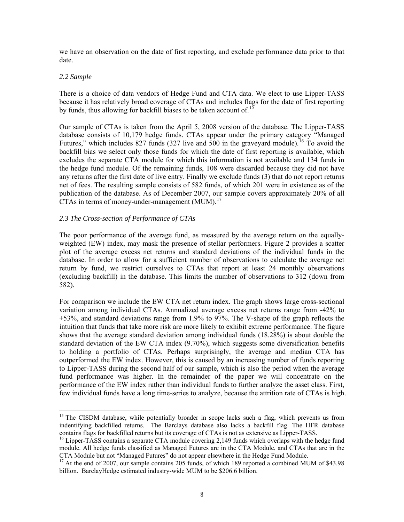<span id="page-9-0"></span>we have an observation on the date of first reporting, and exclude performance data prior to that date.

# *2.2 Sample*

 $\overline{a}$ 

There is a choice of data vendors of Hedge Fund and CTA data. We elect to use Lipper-TASS because it has relatively broad coverage of CTAs and includes flags for the date of first reporting by funds, thus allowing for backfill biases to be taken account of.<sup>[15](#page-9-0)</sup>

Our sample of CTAs is taken from the April 5, 2008 version of the database. The Lipper-TASS database consists of 10,179 hedge funds. CTAs appear under the primary category "Managed Futures," which includes 827 funds (327 live and  $\overline{500}$  in the graveyard module).<sup>[16](#page-9-0)</sup> To avoid the backfill bias we select only those funds for which the date of first reporting is available, which excludes the separate CTA module for which this information is not available and 134 funds in the hedge fund module. Of the remaining funds, 108 were discarded because they did not have any returns after the first date of live entry. Finally we exclude funds (3) that do not report returns net of fees. The resulting sample consists of 582 funds, of which 201 were in existence as of the publication of the database. As of December 2007, our sample covers approximately 20% of all CTAs in terms of money-under-management  $(MUM)^{17}$  $(MUM)^{17}$  $(MUM)^{17}$ 

# *2.3 The Cross-section of Performance of CTAs*

The poor performance of the average fund, as measured by the average return on the equallyweighted (EW) index, may mask the presence of stellar performers. Figure 2 provides a scatter plot of the average excess net returns and standard deviations of the individual funds in the database. In order to allow for a sufficient number of observations to calculate the average net return by fund, we restrict ourselves to CTAs that report at least 24 monthly observations (excluding backfill) in the database. This limits the number of observations to 312 (down from 582).

For comparison we include the EW CTA net return index. The graph shows large cross-sectional variation among individual CTAs. Annualized average excess net returns range from -42% to +53%, and standard deviations range from 1.9% to 97%. The V-shape of the graph reflects the intuition that funds that take more risk are more likely to exhibit extreme performance. The figure shows that the average standard deviation among individual funds (18.28%) is about double the standard deviation of the EW CTA index (9.70%), which suggests some diversification benefits to holding a portfolio of CTAs. Perhaps surprisingly, the average and median CTA has outperformed the EW index. However, this is caused by an increasing number of funds reporting to Lipper-TASS during the second half of our sample, which is also the period when the average fund performance was higher. In the remainder of the paper we will concentrate on the performance of the EW index rather than individual funds to further analyze the asset class. First, few individual funds have a long time-series to analyze, because the attrition rate of CTAs is high.

<sup>&</sup>lt;sup>15</sup> The CISDM database, while potentially broader in scope lacks such a flag, which prevents us from indentifying backfilled returns. The Barclays database also lacks a backfill flag. The HFR database contains flags for backfilled returns but its coverage of CTAs is not as extensive as Lipper-TASS.

 $16$  Lipper-TASS contains a separate CTA module covering 2,149 funds which overlaps with the hedge fund module. All hedge funds classified as Managed Futures are in the CTA Module, and CTAs that are in the CTA Module but not "Managed Futures" do not appear elsewhere in the Hedge Fund Module.

 $^{17}$  At the end of 2007, our sample contains 205 funds, of which 189 reported a combined MUM of \$43.98 billion. BarclayHedge estimated industry-wide MUM to be \$206.6 billion.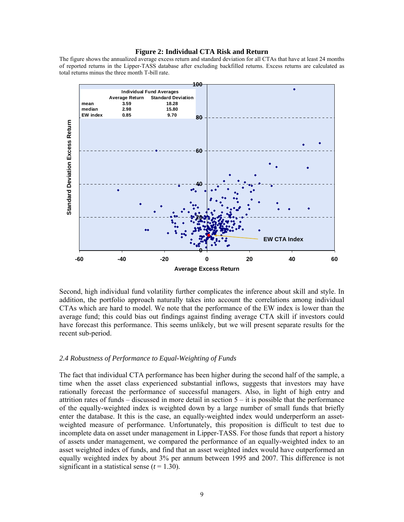#### **Figure 2: Individual CTA Risk and Return**

The figure shows the annualized average excess return and standard deviation for all CTAs that have at least 24 months of reported returns in the Lipper-TASS database after excluding backfilled returns. Excess returns are calculated as total returns minus the three month T-bill rate.



Second, high individual fund volatility further complicates the inference about skill and style. In addition, the portfolio approach naturally takes into account the correlations among individual CTAs which are hard to model. We note that the performance of the EW index is lower than the average fund; this could bias out findings against finding average CTA skill if investors could have forecast this performance. This seems unlikely, but we will present separate results for the recent sub-period.

### *2.4 Robustness of Performance to Equal-Weighting of Funds*

The fact that individual CTA performance has been higher during the second half of the sample, a time when the asset class experienced substantial inflows, suggests that investors may have rationally forecast the performance of successful managers. Also, in light of high entry and attrition rates of funds  $-$  discussed in more detail in section  $5 -$  it is possible that the performance of the equally-weighted index is weighted down by a large number of small funds that briefly enter the database. It this is the case, an equally-weighted index would underperform an assetweighted measure of performance. Unfortunately, this proposition is difficult to test due to incomplete data on asset under management in Lipper-TASS. For those funds that report a history of assets under management, we compared the performance of an equally-weighted index to an asset weighted index of funds, and find that an asset weighted index would have outperformed an equally weighted index by about 3% per annum between 1995 and 2007. This difference is not significant in a statistical sense  $(t = 1.30)$ .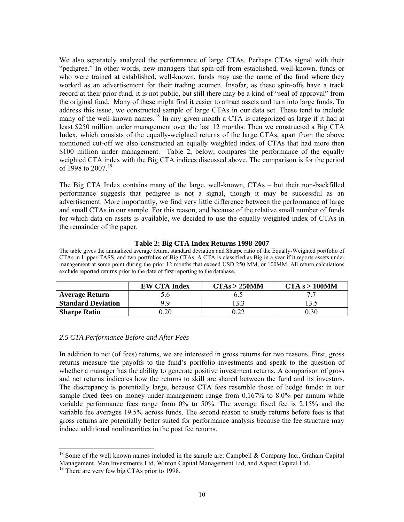<span id="page-11-0"></span>We also separately analyzed the performance of large CTAs. Perhaps CTAs signal with their "pedigree." In other words, new managers that spin-off from established, well-known, funds or who were trained at established, well-known, funds may use the name of the fund where they worked as an advertisement for their trading acumen. Insofar, as these spin-offs have a track record at their prior fund, it is not public, but still there may be a kind of "seal of approval" from the original fund. Many of these might find it easier to attract assets and turn into large funds. To address this issue, we constructed sample of large CTAs in our data set. These tend to include many of the well-known names.<sup>[18](#page-11-0)</sup> In any given month a CTA is categorized as large if it had at least \$250 million under management over the last 12 months. Then we constructed a Big CTA Index, which consists of the equally-weighted returns of the large CTAs, apart from the above mentioned cut-off we also constructed an equally weighted index of CTAs that had more then \$100 million under management. Table 2, below, compares the performance of the equally weighted CTA index with the Big CTA indices discussed above. The comparison is for the period of [19](#page-11-0)98 to 2007.<sup>19</sup>

The Big CTA Index contains many of the large, well-known, CTAs – but their non-backfilled performance suggests that pedigree is not a signal, though it may be successful as an advertisement. More importantly, we find very little difference between the performance of large and small CTAs in our sample. For this reason, and because of the relative small number of funds for which data on assets is available, we decided to use the equally-weighted index of CTAs in the remainder of the paper.

### **Table 2: Big CTA Index Returns 1998-2007**

The table gives the annualized average return, standard deviation and Sharpe ratio of the Equally-Weighted portfolio of CTAs in Lipper-TASS, and two portfolios of Big CTAs. A CTA is classified as Big in a year if it reports assets under management at some point during the prior 12 months that exceed USD 250 MM, or 100MM. All return calculations exclude reported returns prior to the date of first reporting to the database.

|                           | <b>EW CTA Index</b> | CTAs > 250MM | CTA s > 100MM |
|---------------------------|---------------------|--------------|---------------|
| <b>Average Return</b>     |                     |              |               |
| <b>Standard Deviation</b> | Q Q                 |              |               |
| <b>Sharpe Ratio</b>       | 1.20                |              | 0.30          |

# *2.5 CTA Performance Before and After Fees*

In addition to net (of fees) returns, we are interested in gross returns for two reasons. First, gross returns measure the payoffs to the fund's portfolio investments and speak to the question of whether a manager has the ability to generate positive investment returns. A comparison of gross and net returns indicates how the returns to skill are shared between the fund and its investors. The discrepancy is potentially large, because CTA fees resemble those of hedge funds: in our sample fixed fees on money-under-management range from 0.167% to 8.0% per annum while variable performance fees range from 0% to 50%. The average fixed fee is 2.15% and the variable fee averages 19.5% across funds. The second reason to study returns before fees is that gross returns are potentially better suited for performance analysis because the fee structure may induce additional nonlinearities in the post fee returns.

 $\overline{a}$ 

<sup>&</sup>lt;sup>18</sup> Some of the well known names included in the sample are: Campbell & Company Inc., Graham Capital Management, Man Investments Ltd, Winton Capital Management Ltd, and Aspect Capital Ltd.

<sup>&</sup>lt;sup>19</sup> There are very few big CTAs prior to 1998.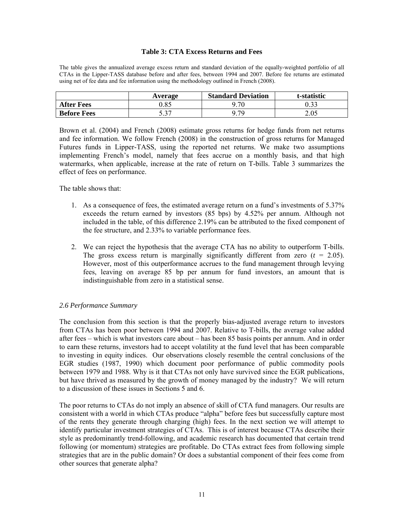### **Table 3: CTA Excess Returns and Fees**

The table gives the annualized average excess return and standard deviation of the equally-weighted portfolio of all CTAs in the Lipper-TASS database before and after fees, between 1994 and 2007. Before fee returns are estimated using net of fee data and fee information using the methodology outlined in French (2008).

|                    | Average        | <b>Standard Deviation</b> | t-statistic |
|--------------------|----------------|---------------------------|-------------|
| <b>After Fees</b>  | 1.85           | .70                       |             |
| <b>Before Fees</b> | こ 2フ<br>. ت. ب | Q 7Q                      | 2.05        |

Brown et al. (2004) and French (2008) estimate gross returns for hedge funds from net returns and fee information. We follow French (2008) in the construction of gross returns for Managed Futures funds in Lipper-TASS, using the reported net returns. We make two assumptions implementing French's model, namely that fees accrue on a monthly basis, and that high watermarks, when applicable, increase at the rate of return on T-bills. Table 3 summarizes the effect of fees on performance.

The table shows that:

- 1. As a consequence of fees, the estimated average return on a fund's investments of 5.37% exceeds the return earned by investors (85 bps) by 4.52% per annum. Although not included in the table, of this difference 2.19% can be attributed to the fixed component of the fee structure, and 2.33% to variable performance fees.
- 2. We can reject the hypothesis that the average CTA has no ability to outperform T-bills. The gross excess return is marginally significantly different from zero  $(t = 2.05)$ . However, most of this outperformance accrues to the fund management through levying fees, leaving on average 85 bp per annum for fund investors, an amount that is indistinguishable from zero in a statistical sense.

### *2.6 Performance Summary*

The conclusion from this section is that the properly bias-adjusted average return to investors from CTAs has been poor between 1994 and 2007. Relative to T-bills, the average value added after fees – which is what investors care about – has been 85 basis points per annum. And in order to earn these returns, investors had to accept volatility at the fund level that has been comparable to investing in equity indices. Our observations closely resemble the central conclusions of the EGR studies (1987, 1990) which document poor performance of public commodity pools between 1979 and 1988. Why is it that CTAs not only have survived since the EGR publications, but have thrived as measured by the growth of money managed by the industry? We will return to a discussion of these issues in Sections 5 and 6.

The poor returns to CTAs do not imply an absence of skill of CTA fund managers. Our results are consistent with a world in which CTAs produce "alpha" before fees but successfully capture most of the rents they generate through charging (high) fees. In the next section we will attempt to identify particular investment strategies of CTAs. This is of interest because CTAs describe their style as predominantly trend-following, and academic research has documented that certain trend following (or momentum) strategies are profitable. Do CTAs extract fees from following simple strategies that are in the public domain? Or does a substantial component of their fees come from other sources that generate alpha?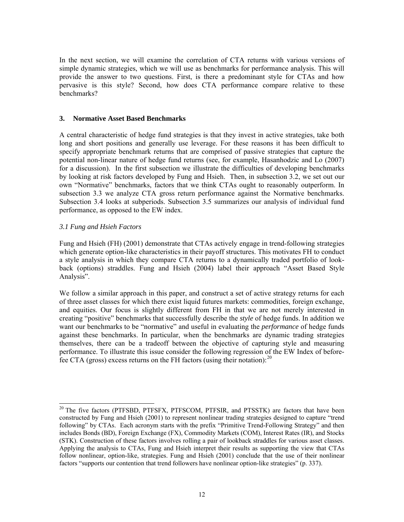<span id="page-13-0"></span>In the next section, we will examine the correlation of CTA returns with various versions of simple dynamic strategies, which we will use as benchmarks for performance analysis. This will provide the answer to two questions. First, is there a predominant style for CTAs and how pervasive is this style? Second, how does CTA performance compare relative to these benchmarks?

# **3. Normative Asset Based Benchmarks**

A central characteristic of hedge fund strategies is that they invest in active strategies, take both long and short positions and generally use leverage. For these reasons it has been difficult to specify appropriate benchmark returns that are comprised of passive strategies that capture the potential non-linear nature of hedge fund returns (see, for example, Hasanhodzic and Lo (2007) for a discussion). In the first subsection we illustrate the difficulties of developing benchmarks by looking at risk factors developed by Fung and Hsieh. Then, in subsection 3.2, we set out our own "Normative" benchmarks, factors that we think CTAs ought to reasonably outperform. In subsection 3.3 we analyze CTA gross return performance against the Normative benchmarks. Subsection 3.4 looks at subperiods. Subsection 3.5 summarizes our analysis of individual fund performance, as opposed to the EW index.

# *3.1 Fung and Hsieh Factors*

 $\overline{a}$ 

Fung and Hsieh (FH) (2001) demonstrate that CTAs actively engage in trend-following strategies which generate option-like characteristics in their payoff structures. This motivates FH to conduct a style analysis in which they compare CTA returns to a dynamically traded portfolio of lookback (options) straddles. Fung and Hsieh (2004) label their approach "Asset Based Style Analysis".

We follow a similar approach in this paper, and construct a set of active strategy returns for each of three asset classes for which there exist liquid futures markets: commodities, foreign exchange, and equities. Our focus is slightly different from FH in that we are not merely interested in creating "positive" benchmarks that successfully describe the *style* of hedge funds. In addition we want our benchmarks to be "normative" and useful in evaluating the *performance* of hedge funds against these benchmarks. In particular, when the benchmarks are dynamic trading strategies themselves, there can be a tradeoff between the objective of capturing style and measuring performance. To illustrate this issue consider the following regression of the EW Index of beforefee CTA (gross) excess returns on the FH factors (using their notation):  $^{20}$  $^{20}$  $^{20}$ 

<sup>&</sup>lt;sup>20</sup> The five factors (PTFSBD, PTFSFX, PTFSCOM, PTFSIR, and PTSSTK) are factors that have been constructed by Fung and Hsieh (2001) to represent nonlinear trading strategies designed to capture "trend following" by CTAs. Each acronym starts with the prefix "Primitive Trend-Following Strategy" and then includes Bonds (BD), Foreign Exchange (FX), Commodity Markets (COM), Interest Rates (IR), and Stocks (STK). Construction of these factors involves rolling a pair of lookback straddles for various asset classes. Applying the analysis to CTAs, Fung and Hsieh interpret their results as supporting the view that CTAs follow nonlinear, option-like, strategies. Fung and Hsieh (2001) conclude that the use of their nonlinear factors "supports our contention that trend followers have nonlinear option-like strategies" (p. 337).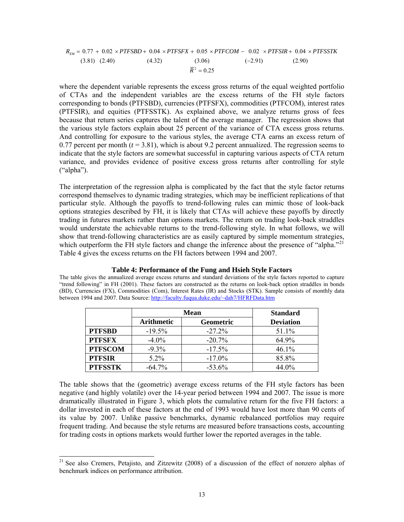<span id="page-14-0"></span>
$$
R_{EW} = 0.77 + 0.02 \times PTFSBD + 0.04 \times PTFSFX + 0.05 \times PTFCOM - 0.02 \times PTFSIR + 0.04 \times PTFSTK
$$
\n(3.81) (2.40) (4.32) (3.06) (-2.91) (2.90)

where the dependent variable represents the excess gross returns of the equal weighted portfolio of CTAs and the independent variables are the excess returns of the FH style factors corresponding to bonds (PTFSBD), currencies (PTFSFX), commodities (PTFCOM), interest rates (PTFSIR), and equities (PTFSSTK). As explained above, we analyze returns gross of fees because that return series captures the talent of the average manager. The regression shows that the various style factors explain about 25 percent of the variance of CTA excess gross returns. And controlling for exposure to the various styles, the average CTA earns an excess return of 0.77 percent per month  $(t = 3.81)$ , which is about 9.2 percent annualized. The regression seems to indicate that the style factors are somewhat successful in capturing various aspects of CTA return variance, and provides evidence of positive excess gross returns after controlling for style ("alpha").

The interpretation of the regression alpha is complicated by the fact that the style factor returns correspond themselves to dynamic trading strategies, which may be inefficient replications of that particular style. Although the payoffs to trend-following rules can mimic those of look-back options strategies described by FH, it is likely that CTAs will achieve these payoffs by directly trading in futures markets rather than options markets. The return on trading look-back straddles would understate the achievable returns to the trend-following style. In what follows, we will show that trend-following characteristics are as easily captured by simple momentum strategies, which outperform the FH style factors and change the inference about the presence of "alpha."<sup>[21](#page-14-0)</sup> Table 4 gives the excess returns on the FH factors between 1994 and 2007.

|                | <b>Mean</b>       | <b>Standard</b>  |                  |
|----------------|-------------------|------------------|------------------|
|                | <b>Arithmetic</b> | <b>Geometric</b> | <b>Deviation</b> |
| <b>PTFSBD</b>  | $-19.5\%$         | $-27.2\%$        | 51.1%            |
| <b>PTFSFX</b>  | $-4.0\%$          | $-20.7\%$        | 64.9%            |
| <b>PTFSCOM</b> | $-9.3\%$          | $-17.5\%$        | 46.1%            |
| <b>PTFSIR</b>  | $5.2\%$           | $-17.0\%$        | 85.8%            |
| <b>PTFSSTK</b> | $-64.7\%$         | $-53.6%$         | 44.0%            |

**Table 4: Performance of the Fung and Hsieh Style Factors**  The table gives the annualized average excess returns and standard deviations of the style factors reported to capture

"trend following" in FH (2001). These factors are constructed as the returns on look-back option straddles in bonds (BD), Currencies (FX), Commodities (Com), Interest Rates (IR) and Stocks (STK). Sample consists of monthly data

between 1994 and 2007. Data Source: [http://faculty.fuqua.duke.edu/~dah7/HFRFData.htm](http://faculty.fuqua.duke.edu/%7Edah7/HFRFData.htm)

 $\overline{a}$ 

**PTFSSTK** | -64.7% | -53.6% | 44.0% The table shows that the (geometric) average excess returns of the FH style factors has been negative (and highly volatile) over the 14-year period between 1994 and 2007. The issue is more

dramatically illustrated in Figure 3, which plots the cumulative return for the five FH factors: a dollar invested in each of these factors at the end of 1993 would have lost more than 90 cents of its value by 2007. Unlike passive benchmarks, dynamic rebalanced portfolios may require frequent trading. And because the style returns are measured before transactions costs, accounting for trading costs in options markets would further lower the reported averages in the table.

<sup>&</sup>lt;sup>21</sup> See also Cremers, Petajisto, and Zitzewitz (2008) of a discussion of the effect of nonzero alphas of benchmark indices on performance attribution.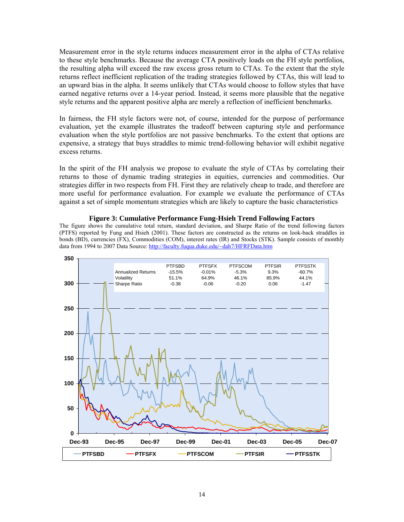Measurement error in the style returns induces measurement error in the alpha of CTAs relative to these style benchmarks. Because the average CTA positively loads on the FH style portfolios, the resulting alpha will exceed the raw excess gross return to CTAs. To the extent that the style returns reflect inefficient replication of the trading strategies followed by CTAs, this will lead to an upward bias in the alpha. It seems unlikely that CTAs would choose to follow styles that have earned negative returns over a 14-year period. Instead, it seems more plausible that the negative style returns and the apparent positive alpha are merely a reflection of inefficient benchmarks.

In fairness, the FH style factors were not, of course, intended for the purpose of performance evaluation, yet the example illustrates the tradeoff between capturing style and performance evaluation when the style portfolios are not passive benchmarks. To the extent that options are expensive, a strategy that buys straddles to mimic trend-following behavior will exhibit negative excess returns.

In the spirit of the FH analysis we propose to evaluate the style of CTAs by correlating their returns to those of dynamic trading strategies in equities, currencies and commodities. Our strategies differ in two respects from FH. First they are relatively cheap to trade, and therefore are more useful for performance evaluation. For example we evaluate the performance of CTAs against a set of simple momentum strategies which are likely to capture the basic characteristics



**Figure 3: Cumulative Performance Fung-Hsieh Trend Following Factors** 

The figure shows the cumulative total return, standard deviation, and Sharpe Ratio of the trend following factors (PTFS) reported by Fung and Hsieh (2001). These factors are constructed as the returns on look-back straddles in bonds (BD), currencies (FX), Commodities (COM), interest rates (IR) and Stocks (STK). Sample consists of monthly data from 1994 to 2007 Data Source: [http://faculty.fuqua.duke.edu/~dah7/HFRFData.htm](http://faculty.fuqua.duke.edu/%7Edah7/HFRFData.htm)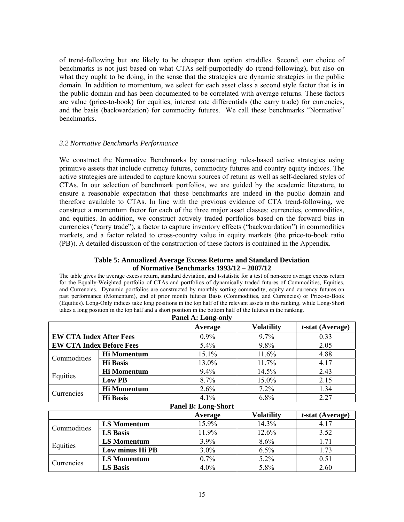of trend-following but are likely to be cheaper than option straddles. Second, our choice of benchmarks is not just based on what CTAs self-purportedly do (trend-following), but also on what they ought to be doing, in the sense that the strategies are dynamic strategies in the public domain. In addition to momentum, we select for each asset class a second style factor that is in the public domain and has been documented to be correlated with average returns. These factors are value (price-to-book) for equities, interest rate differentials (the carry trade) for currencies, and the basis (backwardation) for commodity futures. We call these benchmarks "Normative" benchmarks.

# *3.2 Normative Benchmarks Performance*

We construct the Normative Benchmarks by constructing rules-based active strategies using primitive assets that include currency futures, commodity futures and country equity indices. The active strategies are intended to capture known sources of return as well as self-declared styles of CTAs. In our selection of benchmark portfolios, we are guided by the academic literature, to ensure a reasonable expectation that these benchmarks are indeed in the public domain and therefore available to CTAs. In line with the previous evidence of CTA trend-following, we construct a momentum factor for each of the three major asset classes: currencies, commodities, and equities. In addition, we construct actively traded portfolios based on the forward bias in currencies ("carry trade"), a factor to capture inventory effects ("backwardation") in commodities markets, and a factor related to cross-country value in equity markets (the price-to-book ratio (PB)). A detailed discussion of the construction of these factors is contained in the Appendix.

# **Table 5: Annualized Average Excess Returns and Standard Deviation of Normative Benchmarks 1993/12 – 2007/12**

The table gives the average excess return, standard deviation, and t-statistic for a test of non-zero average excess return for the Equally-Weighted portfolio of CTAs and portfolios of dynamically traded futures of Commodities, Equities, and Currencies. Dynamic portfolios are constructed by monthly sorting commodity, equity and currency futures on past performance (Momentum), end of prior month futures Basis (Commodities, and Currencies) or Price-to-Book (Equities). Long-Only indices take long positions in the top half of the relevant assets in this ranking, while Long-Short takes a long position in the top half and a short position in the bottom half of the futures in the ranking.

| Panel A: Long-only              |                                                     |         |         |      |  |  |  |  |
|---------------------------------|-----------------------------------------------------|---------|---------|------|--|--|--|--|
|                                 | <b>Volatility</b><br>$t$ -stat (Average)<br>Average |         |         |      |  |  |  |  |
| <b>EW CTA Index After Fees</b>  |                                                     | $0.9\%$ | 9.7%    | 0.33 |  |  |  |  |
| <b>EW CTA Index Before Fees</b> |                                                     | $5.4\%$ | $9.8\%$ | 2.05 |  |  |  |  |
| Commodities                     | <b>Hi</b> Momentum                                  | 15.1%   | 11.6%   | 4.88 |  |  |  |  |
|                                 | <b>Hi</b> Basis                                     | 13.0%   | 11.7%   | 4.17 |  |  |  |  |
| Equities                        | <b>Hi Momentum</b>                                  | $9.4\%$ | 14.5%   | 2.43 |  |  |  |  |
|                                 | Low PB                                              | 8.7%    | 15.0%   | 2.15 |  |  |  |  |
| Currencies                      | <b>Hi Momentum</b>                                  | 2.6%    | 7.2%    | 1.34 |  |  |  |  |
|                                 | <b>Hi</b> Basis                                     | $4.1\%$ | $6.8\%$ | 2.27 |  |  |  |  |

# **Panel A: Long-only**

#### **Panel B: Long-Short**

|             |                    | Average | <b>Volatility</b> | $t$ -stat (Average) |
|-------------|--------------------|---------|-------------------|---------------------|
| Commodities | LS Momentum        | 15.9%   | 14.3%             |                     |
|             | <b>LS Basis</b>    | 11.9%   | 12.6%             | 3.52                |
|             | <b>LS Momentum</b> | 3.9%    | 8.6%              | .71                 |
| Equities    | Low minus Hi PB    | 3.0%    | 6.5%              | 1.73                |
|             | <b>LS Momentum</b> | 0.7%    | $5.2\%$           | 0.51                |
| Currencies  | <b>LS Basis</b>    | 4.0%    | 5.8%              | 2.60                |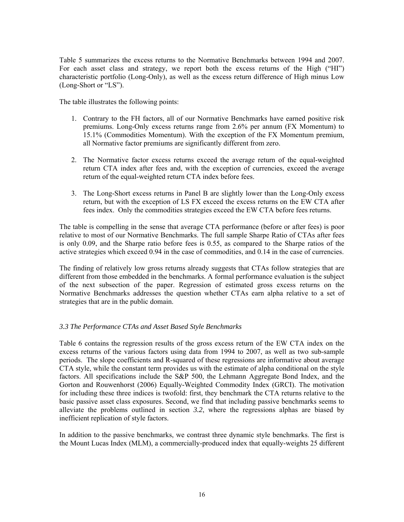Table 5 summarizes the excess returns to the Normative Benchmarks between 1994 and 2007. For each asset class and strategy, we report both the excess returns of the High ("HI") characteristic portfolio (Long-Only), as well as the excess return difference of High minus Low (Long-Short or "LS").

The table illustrates the following points:

- 1. Contrary to the FH factors, all of our Normative Benchmarks have earned positive risk premiums. Long-Only excess returns range from 2.6% per annum (FX Momentum) to 15.1% (Commodities Momentum). With the exception of the FX Momentum premium, all Normative factor premiums are significantly different from zero.
- 2. The Normative factor excess returns exceed the average return of the equal-weighted return CTA index after fees and, with the exception of currencies, exceed the average return of the equal-weighted return CTA index before fees.
- 3. The Long-Short excess returns in Panel B are slightly lower than the Long-Only excess return, but with the exception of LS FX exceed the excess returns on the EW CTA after fees index. Only the commodities strategies exceed the EW CTA before fees returns.

The table is compelling in the sense that average CTA performance (before or after fees) is poor relative to most of our Normative Benchmarks. The full sample Sharpe Ratio of CTAs after fees is only 0.09, and the Sharpe ratio before fees is 0.55, as compared to the Sharpe ratios of the active strategies which exceed 0.94 in the case of commodities, and 0.14 in the case of currencies.

The finding of relatively low gross returns already suggests that CTAs follow strategies that are different from those embedded in the benchmarks. A formal performance evaluation is the subject of the next subsection of the paper. Regression of estimated gross excess returns on the Normative Benchmarks addresses the question whether CTAs earn alpha relative to a set of strategies that are in the public domain.

# *3.3 The Performance CTAs and Asset Based Style Benchmarks*

Table 6 contains the regression results of the gross excess return of the EW CTA index on the excess returns of the various factors using data from 1994 to 2007, as well as two sub-sample periods. The slope coefficients and R-squared of these regressions are informative about average CTA style, while the constant term provides us with the estimate of alpha conditional on the style factors. All specifications include the S&P 500, the Lehmann Aggregate Bond Index, and the Gorton and Rouwenhorst (2006) Equally-Weighted Commodity Index (GRCI). The motivation for including these three indices is twofold: first, they benchmark the CTA returns relative to the basic passive asset class exposures. Second, we find that including passive benchmarks seems to alleviate the problems outlined in section *3.2*, where the regressions alphas are biased by inefficient replication of style factors.

In addition to the passive benchmarks, we contrast three dynamic style benchmarks. The first is the Mount Lucas Index (MLM), a commercially-produced index that equally-weights 25 different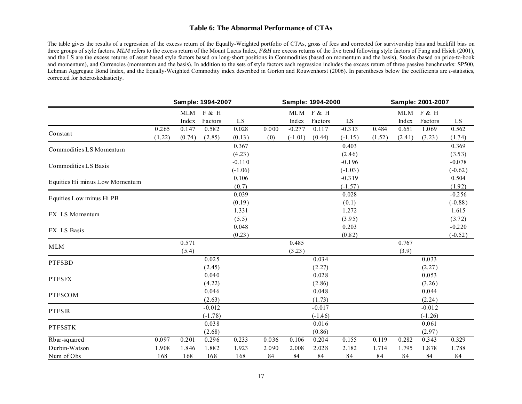### **Table 6: The Abnormal Performance of CTAs**

The table gives the results of a regression of the excess return of the Equally-Weighted portfolio of CTAs, gross of fees and corrected for survivorship bias and backfill bias on three groups of style factors. MLM refers to the excess return of the Mount Lucas Index, *F&H* are excess returns of the five trend following style factors of Fung and Hsieh (2001), and the LS are the excess returns of asset based style factors based on long-short positions in Commodities (based on momentum and the basis), Stocks (based on price-to-book and momentum), and Currencies (momentum and the basis). In addition to the sets of style factors each regression includes the excess return of three passive benchmarks: SP500, Lehman Aggregate Bond Index, and the Equally-Weighted Commodity index described in Gorton and Rouwenhorst (2006). In parentheses below the coefficients are *t-*statistics, corrected for heteroskedasticity.

|                                | Sample: 1994-2007 |            |           | Sample: 1994-2000 |       |           | Sample: 2001-2007 |           |        |        |           |           |
|--------------------------------|-------------------|------------|-----------|-------------------|-------|-----------|-------------------|-----------|--------|--------|-----------|-----------|
|                                |                   | <b>MLM</b> | F & H     |                   |       | MLM       | F & H             |           |        |        | MLM F & H |           |
|                                |                   | Index      | Factors   | LS                |       | Index     | Factors           | LS        |        | Index  | Factors   | LS        |
| Constant                       | 0.265             | 0.147      | 0.582     | 0.028             | 0.000 | $-0.277$  | 0.117             | $-0.313$  | 0.484  | 0.651  | 1.069     | 0.562     |
|                                | (1.22)            | (0.74)     | (2.85)    | (0.13)            | (0)   | $(-1.01)$ | (0.44)            | $(-1.15)$ | (1.52) | (2.41) | (3.23)    | (1.74)    |
|                                |                   |            |           | 0.367             |       |           |                   | 0.403     |        |        |           | 0.369     |
| Commodities LS Momentum        |                   |            |           | (4.23)            |       |           |                   | (2.46)    |        |        |           | (3.53)    |
| Commodities LS Basis           |                   |            |           | $-0.110$          |       |           |                   | $-0.196$  |        |        |           | $-0.078$  |
|                                |                   |            |           | $(-1.06)$         |       |           |                   | $(-1.03)$ |        |        |           | $(-0.62)$ |
| Equities Hi minus Low Momentum |                   |            |           | 0.106             |       |           |                   | $-0.319$  |        |        |           | 0.504     |
|                                |                   |            |           | (0.7)             |       |           |                   | $(-1.57)$ |        |        |           | (1.92)    |
| Equities Low minus Hi PB       |                   |            |           | 0.039             |       |           |                   | 0.028     |        |        |           | $-0.256$  |
|                                |                   |            |           | (0.19)            |       |           |                   | (0.1)     |        |        |           | $(-0.88)$ |
| FX LS Momentum                 |                   |            |           | 1.331             |       |           |                   | 1.272     |        |        |           | 1.615     |
|                                |                   |            |           | (5.5)             |       |           |                   | (3.95)    |        |        |           | (3.72)    |
| FX LS Basis                    |                   |            |           | 0.048             |       |           |                   | 0.203     |        |        |           | $-0.220$  |
|                                |                   |            |           | (0.23)            |       |           |                   | (0.82)    |        |        |           | $(-0.52)$ |
| <b>MLM</b>                     |                   | 0.571      |           |                   |       | 0.485     |                   |           |        | 0.767  |           |           |
|                                |                   | (5.4)      |           |                   |       | (3.23)    |                   |           |        | (3.9)  |           |           |
| <b>PTFSBD</b>                  |                   |            | 0.025     |                   |       |           | 0.034             |           |        |        | 0.033     |           |
|                                |                   |            | (2.45)    |                   |       |           | (2.27)            |           |        |        | (2.27)    |           |
| <b>PTFSFX</b>                  |                   |            | 0.040     |                   |       |           | 0.028             |           |        |        | 0.053     |           |
|                                |                   |            | (4.22)    |                   |       |           | (2.86)            |           |        |        | (3.26)    |           |
| <b>PTFSCOM</b>                 |                   |            | 0.046     |                   |       |           | 0.048             |           |        |        | 0.044     |           |
|                                |                   |            | (2.63)    |                   |       |           | (1.73)            |           |        |        | (2.24)    |           |
| <b>PTFSIR</b>                  |                   |            | $-0.012$  |                   |       |           | $-0.017$          |           |        |        | $-0.012$  |           |
|                                |                   |            | $(-1.78)$ |                   |       |           | $(-1.46)$         |           |        |        | $(-1.26)$ |           |
| <b>PTFSSTK</b>                 |                   |            | 0.038     |                   |       |           | 0.016             |           |        |        | 0.061     |           |
|                                |                   |            | (2.68)    |                   |       |           | (0.86)            |           |        |        | (2.97)    |           |
| Rbar-squared                   | 0.097             | 0.201      | 0.296     | 0.233             | 0.036 | 0.106     | 0.204             | 0.155     | 0.119  | 0.282  | 0.343     | 0.329     |
| Durbin-Watson                  | 1.908             | 1.846      | 1.882     | 1.923             | 2.090 | 2.008     | 2.028             | 2.182     | 1.714  | 1.795  | 1.878     | 1.788     |
| Num of Obs                     | 168               | 168        | 168       | 168               | 84    | 84        | 84                | 84        | 84     | 84     | 84        | 84        |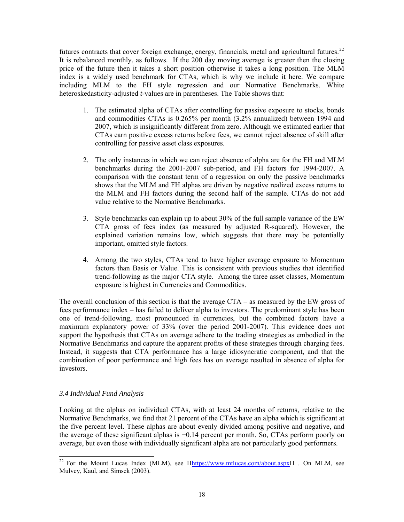<span id="page-19-0"></span>futures contracts that cover foreign exchange, energy, financials, metal and agricultural futures.<sup>22</sup> It is rebalanced monthly, as follows. If the 200 day moving average is greater then the closing price of the future then it takes a short position otherwise it takes a long position. The MLM index is a widely used benchmark for CTAs, which is why we include it here. We compare including MLM to the FH style regression and our Normative Benchmarks. White heteroskedasticity-adjusted *t*-values are in parentheses. The Table shows that:

- 1. The estimated alpha of CTAs after controlling for passive exposure to stocks, bonds and commodities CTAs is 0.265% per month (3.2% annualized) between 1994 and 2007, which is insignificantly different from zero. Although we estimated earlier that CTAs earn positive excess returns before fees, we cannot reject absence of skill after controlling for passive asset class exposures.
- 2. The only instances in which we can reject absence of alpha are for the FH and MLM benchmarks during the 2001-2007 sub-period, and FH factors for 1994-2007. A comparison with the constant term of a regression on only the passive benchmarks shows that the MLM and FH alphas are driven by negative realized excess returns to the MLM and FH factors during the second half of the sample. CTAs do not add value relative to the Normative Benchmarks.
- 3. Style benchmarks can explain up to about 30% of the full sample variance of the EW CTA gross of fees index (as measured by adjusted R-squared). However, the explained variation remains low, which suggests that there may be potentially important, omitted style factors.
- 4. Among the two styles, CTAs tend to have higher average exposure to Momentum factors than Basis or Value. This is consistent with previous studies that identified trend-following as the major CTA style. Among the three asset classes, Momentum exposure is highest in Currencies and Commodities.

The overall conclusion of this section is that the average CTA – as measured by the EW gross of fees performance index – has failed to deliver alpha to investors. The predominant style has been one of trend-following, most pronounced in currencies, but the combined factors have a maximum explanatory power of 33% (over the period 2001-2007). This evidence does not support the hypothesis that CTAs on average adhere to the trading strategies as embodied in the Normative Benchmarks and capture the apparent profits of these strategies through charging fees. Instead, it suggests that CTA performance has a large idiosyncratic component, and that the combination of poor performance and high fees has on average resulted in absence of alpha for investors.

# *3.4 Individual Fund Analysis*

 $\overline{a}$ 

Looking at the alphas on individual CTAs, with at least 24 months of returns, relative to the Normative Benchmarks, we find that 21 percent of the CTAs have an alpha which is significant at the five percent level. These alphas are about evenly divided among positive and negative, and the average of these significant alphas is −0.14 percent per month. So, CTAs perform poorly on average, but even those with individually significant alpha are not particularly good performers.

<sup>&</sup>lt;sup>22</sup> For the Mount Lucas Index (MLM), see Hhttps://www.mtlucas.com/about.aspxH . On MLM, see Mulvey, Kaul, and Simsek (2003).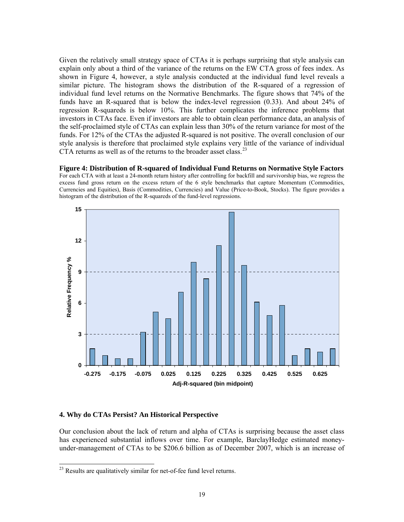<span id="page-20-0"></span>Given the relatively small strategy space of CTAs it is perhaps surprising that style analysis can explain only about a third of the variance of the returns on the EW CTA gross of fees index. As shown in Figure 4, however, a style analysis conducted at the individual fund level reveals a similar picture. The histogram shows the distribution of the R-squared of a regression of individual fund level returns on the Normative Benchmarks. The figure shows that 74% of the funds have an R-squared that is below the index-level regression (0.33). And about 24% of regression R-squareds is below 10%. This further complicates the inference problems that investors in CTAs face. Even if investors are able to obtain clean performance data, an analysis of the self-proclaimed style of CTAs can explain less than 30% of the return variance for most of the funds. For 12% of the CTAs the adjusted R-squared is not positive. The overall conclusion of our style analysis is therefore that proclaimed style explains very little of the variance of individual CTA returns as well as of the returns to the broader asset class.<sup>[23](#page-20-0)</sup>

**Figure 4: Distribution of R-squared of Individual Fund Returns on Normative Style Factors**  For each CTA with at least a 24-month return history after controlling for backfill and survivorship bias, we regress the excess fund gross return on the excess return of the 6 style benchmarks that capture Momentum (Commodities, Currencies and Equities), Basis (Commodities, Currencies) and Value (Price-to-Book, Stocks). The figure provides a histogram of the distribution of the R-squareds of the fund-level regressions.



### **4. Why do CTAs Persist? An Historical Perspective**

 $\overline{a}$ 

Our conclusion about the lack of return and alpha of CTAs is surprising because the asset class has experienced substantial inflows over time. For example, BarclayHedge estimated moneyunder-management of CTAs to be \$206.6 billion as of December 2007, which is an increase of

<sup>&</sup>lt;sup>23</sup> Results are qualitatively similar for net-of-fee fund level returns.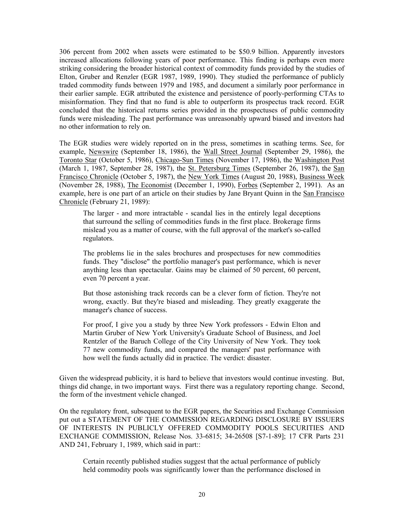306 percent from 2002 when assets were estimated to be \$50.9 billion. Apparently investors increased allocations following years of poor performance. This finding is perhaps even more striking considering the broader historical context of commodity funds provided by the studies of Elton, Gruber and Renzler (EGR 1987, 1989, 1990). They studied the performance of publicly traded commodity funds between 1979 and 1985, and document a similarly poor performance in their earlier sample. EGR attributed the existence and persistence of poorly-performing CTAs to misinformation. They find that no fund is able to outperform its prospectus track record. EGR concluded that the historical returns series provided in the prospectuses of public commodity funds were misleading. The past performance was unreasonably upward biased and investors had no other information to rely on.

The EGR studies were widely reported on in the press, sometimes in scathing terms. See, for example, Newswire (September 18, 1986), the Wall Street Journal (September 29, 1986), the Toronto Star (October 5, 1986), Chicago-Sun Times (November 17, 1986), the Washington Post (March 1, 1987, September 28, 1987), the St. Petersburg Times (September 26, 1987), the San Francisco Chronicle (October 5, 1987), the New York Times (August 20, 1988), Business Week (November 28, 1988), The Economist (December 1, 1990), Forbes (September 2, 1991). As an example, here is one part of an article on their studies by Jane Bryant Quinn in the San Francisco Chronicle (February 21, 1989):

The larger - and more intractable - scandal lies in the entirely legal deceptions that surround the selling of commodities funds in the first place. Brokerage firms mislead you as a matter of course, with the full approval of the market's so-called regulators.

The problems lie in the sales brochures and prospectuses for new commodities funds. They "disclose" the portfolio manager's past performance, which is never anything less than spectacular. Gains may be claimed of 50 percent, 60 percent, even 70 percent a year.

But those astonishing track records can be a clever form of fiction. They're not wrong, exactly. But they're biased and misleading. They greatly exaggerate the manager's chance of success.

For proof, I give you a study by three New York professors - Edwin Elton and Martin Gruber of New York University's Graduate School of Business, and Joel Rentzler of the Baruch College of the City University of New York. They took 77 new commodity funds, and compared the managers' past performance with how well the funds actually did in practice. The verdict: disaster.

Given the widespread publicity, it is hard to believe that investors would continue investing. But, things did change, in two important ways. First there was a regulatory reporting change. Second, the form of the investment vehicle changed.

On the regulatory front, subsequent to the EGR papers, the Securities and Exchange Commission put out a STATEMENT OF THE COMMISSION REGARDING DISCLOSURE BY ISSUERS OF INTERESTS IN PUBLICLY OFFERED COMMODITY POOLS SECURITIES AND EXCHANGE COMMISSION, Release Nos. 33-6815; 34-26508 [S7-1-89]; 17 CFR Parts 231 AND 241, February 1, 1989, which said in part::

Certain recently published studies suggest that the actual performance of publicly held commodity pools was significantly lower than the performance disclosed in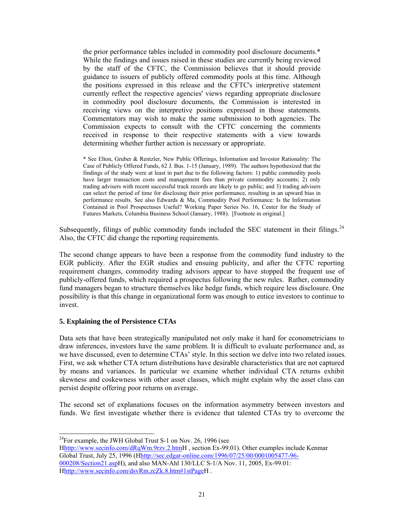<span id="page-22-0"></span>the prior performance tables included in commodity pool disclosure documents.\* While the findings and issues raised in these studies are currently being reviewed by the staff of the CFTC, the Commission believes that it should provide guidance to issuers of publicly offered commodity pools at this time. Although the positions expressed in this release and the CFTC's interpretive statement currently reflect the respective agencies' views regarding appropriate disclosure in commodity pool disclosure documents, the Commission is interested in receiving views on the interpretive positions expressed in those statements. Commentators may wish to make the same submission to both agencies. The Commission expects to consult with the CFTC concerning the comments received in response to their respective statements with a view towards determining whether further action is necessary or appropriate.

\* See Elton, Gruber & Rentzler, New Public Offerings, Information and Investor Rationality: The Case of Publicly Offered Funds, 62 J. Bus. 1-15 (January, 1989). The authors hypothesized that the findings of the study were at least in part due to the following factors: 1) public commodity pools have larger transaction costs and management fees than private commodity accounts; 2) only trading advisers with recent successful track records are likely to go public; and 3) trading advisers can select the period of time for disclosing their prior performance, resulting in an upward bias in performance results. See also Edwards & Ma, Commodity Pool Performance: Is the Information Contained in Pool Prospectuses Useful? Working Paper Series No. 16, Center for the Study of Futures Markets, Columbia Business School (January, 1988). [Footnote in original.]

Subsequently, filings of public commodity funds included the SEC statement in their filings.<sup>24</sup> Also, the CFTC did change the reporting requirements.

The second change appears to have been a response from the commodity fund industry to the EGR publicity. After the EGR studies and ensuing publicity, and after the CFTC reporting requirement changes, commodity trading advisors appear to have stopped the frequent use of publicly-offered funds, which required a prospectus following the new rules. Rather, commodity fund managers began to structure themselves like hedge funds, which require less disclosure. One possibility is that this change in organizational form was enough to entice investors to continue to invest.

# **5. Explaining the of Persistence CTAs**

 $\overline{a}$ 

Data sets that have been strategically manipulated not only make it hard for econometricians to draw inferences, investors have the same problem. It is difficult to evaluate performance and, as we have discussed, even to determine CTAs' style. In this section we delve into two related issues. First, we ask whether CTA return distributions have desirable characteristics that are not captured by means and variances. In particular we examine whether individual CTA returns exhibit skewness and coskewness with other asset classes, which might explain why the asset class can persist despite offering poor returns on average.

The second set of explanations focuses on the information asymmetry between investors and funds. We first investigate whether there is evidence that talented CTAs try to overcome the

 $^{24}$ For example, the JWH Global Trust S-1 on Nov. 26, 1996 (see

Hhttp://www.secinfo.com/dRqWm.9rzv.2.htmH, section Ex-99.01). Other examples include Kenmar Global Trust, July 25, 1996 (Hhttp://sec.edgar-online.com/1996/07/25/00/0001005477-96- 000208/Section21.aspH), and also MAN-Ahl 130/LLC S-1/A Nov. 11, 2005, Ex-99.01: Hhttp://www.secinfo.com/dsvRm.zcZk.8.htm#1stPageH.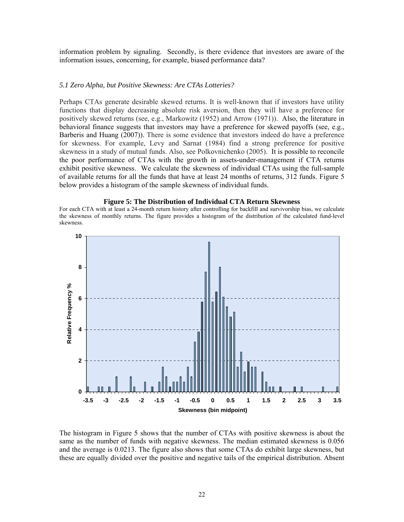information problem by signaling. Secondly, is there evidence that investors are aware of the information issues, concerning, for example, biased performance data?

### *5.1 Zero Alpha, but Positive Skewness: Are CTAs Lotteries?*

Perhaps CTAs generate desirable skewed returns. It is well-known that if investors have utility functions that display decreasing absolute risk aversion, then they will have a preference for positively skewed returns (see, e.g., Markowitz (1952) and Arrow (1971)). Also, the literature in behavioral finance suggests that investors may have a preference for skewed payoffs (see, e.g., Barberis and Huang (2007)). There is some evidence that investors indeed do have a preference for skewness. For example, Levy and Sarnat (1984) find a strong preference for positive skewness in a study of mutual funds. Also, see Polkovnichenko (2005). It is possible to reconcile the poor performance of CTAs with the growth in assets-under-management if CTA returns exhibit positive skewness. We calculate the skewness of individual CTAs using the full-sample of available returns for all the funds that have at least 24 months of returns, 312 funds. Figure 5 below provides a histogram of the sample skewness of individual funds.

#### **Figure 5: The Distribution of Individual CTA Return Skewness**

For each CTA with at least a 24-month return history after controlling for backfill and survivorship bias, we calculate the skewness of monthly returns. The figure provides a histogram of the distribution of the calculated fund-level skewness.



The histogram in Figure 5 shows that the number of CTAs with positive skewness is about the same as the number of funds with negative skewness. The median estimated skewness is 0.056 and the average is 0.0213. The figure also shows that some CTAs do exhibit large skewness, but these are equally divided over the positive and negative tails of the empirical distribution. Absent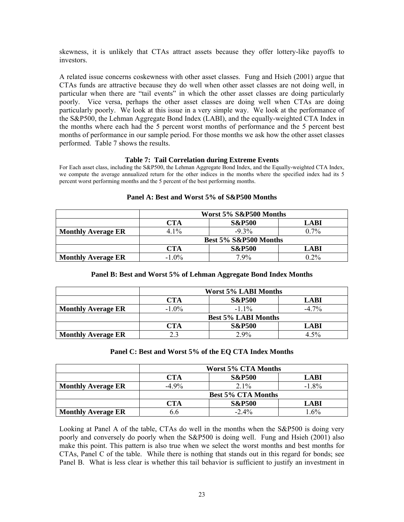skewness, it is unlikely that CTAs attract assets because they offer lottery-like payoffs to investors.

A related issue concerns coskewness with other asset classes. Fung and Hsieh (2001) argue that CTAs funds are attractive because they do well when other asset classes are not doing well, in particular when there are "tail events" in which the other asset classes are doing particularly poorly. Vice versa, perhaps the other asset classes are doing well when CTAs are doing particularly poorly. We look at this issue in a very simple way. We look at the performance of the S&P500, the Lehman Aggregate Bond Index (LABI), and the equally-weighted CTA Index in the months where each had the 5 percent worst months of performance and the 5 percent best months of performance in our sample period. For those months we ask how the other asset classes performed. Table 7 shows the results.

### **Table 7: Tail Correlation during Extreme Events**

For Each asset class, including the S&P500, the Lehman Aggregate Bond Index, and the Equally-weighted CTA Index, we compute the average annualized return for the other indices in the months where the specified index had its 5 percent worst performing months and the 5 percent of the best performing months.

|                           | Worst 5% S&P500 Months           |                   |         |  |  |  |
|---------------------------|----------------------------------|-------------------|---------|--|--|--|
|                           | <b>S&amp;P500</b><br>CTA<br>LABI |                   |         |  |  |  |
| <b>Monthly Average ER</b> | 4 1%                             | $-9.3\%$          | $0.7\%$ |  |  |  |
|                           | Best 5% S&P500 Months            |                   |         |  |  |  |
|                           | CTA                              | <b>S&amp;P500</b> | LABI    |  |  |  |
| <b>Monthly Average ER</b> | $-1.0\%$                         | $7.9\%$           | $0.2\%$ |  |  |  |

# **Panel A: Best and Worst 5% of S&P500 Months**

# **Panel B: Best and Worst 5% of Lehman Aggregate Bond Index Months**

|                           | <b>Worst 5% LABI Months</b>             |                   |             |  |  |  |
|---------------------------|-----------------------------------------|-------------------|-------------|--|--|--|
|                           | <b>S&amp;P500</b><br>CTA<br><b>LABI</b> |                   |             |  |  |  |
| <b>Monthly Average ER</b> | $-1.0\%$                                | $-11\%$           | $-4\,7\%$   |  |  |  |
|                           | <b>Best 5% LABI Months</b>              |                   |             |  |  |  |
|                           | CTA                                     | <b>S&amp;P500</b> | <b>LABI</b> |  |  |  |
| <b>Monthly Average ER</b> | 23                                      | $2.9\%$           | 4.5%        |  |  |  |

### **Panel C: Best and Worst 5% of the EQ CTA Index Months**

|                           | <b>Worst 5% CTA Months</b>       |                   |             |  |  |  |
|---------------------------|----------------------------------|-------------------|-------------|--|--|--|
|                           | <b>S&amp;P500</b><br>CTA<br>LABI |                   |             |  |  |  |
| <b>Monthly Average ER</b> | $-4.9\%$                         | $21\%$            | $-1.8\%$    |  |  |  |
|                           | <b>Best 5% CTA Months</b>        |                   |             |  |  |  |
|                           | CTA                              | <b>S&amp;P500</b> | <b>LABI</b> |  |  |  |
| <b>Monthly Average ER</b> | 6.6                              | $-2.4\%$          | $1.6\%$     |  |  |  |

Looking at Panel A of the table, CTAs do well in the months when the S&P500 is doing very poorly and conversely do poorly when the S&P500 is doing well. Fung and Hsieh (2001) also make this point. This pattern is also true when we select the worst months and best months for CTAs, Panel C of the table. While there is nothing that stands out in this regard for bonds; see Panel B. What is less clear is whether this tail behavior is sufficient to justify an investment in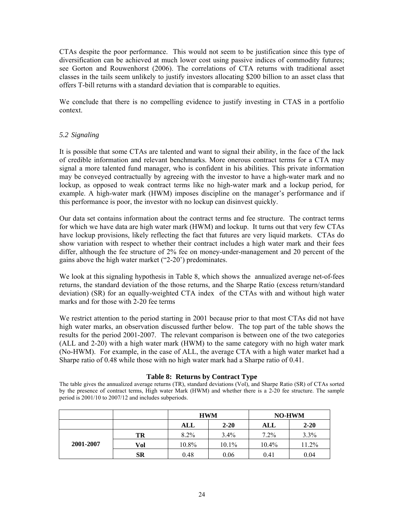CTAs despite the poor performance. This would not seem to be justification since this type of diversification can be achieved at much lower cost using passive indices of commodity futures; see Gorton and Rouwenhorst (2006). The correlations of CTA returns with traditional asset classes in the tails seem unlikely to justify investors allocating \$200 billion to an asset class that offers T-bill returns with a standard deviation that is comparable to equities.

We conclude that there is no compelling evidence to justify investing in CTAS in a portfolio context.

# *5.2 Signaling*

It is possible that some CTAs are talented and want to signal their ability, in the face of the lack of credible information and relevant benchmarks. More onerous contract terms for a CTA may signal a more talented fund manager, who is confident in his abilities. This private information may be conveyed contractually by agreeing with the investor to have a high-water mark and no lockup, as opposed to weak contract terms like no high-water mark and a lockup period, for example. A high-water mark (HWM) imposes discipline on the manager's performance and if this performance is poor, the investor with no lockup can disinvest quickly.

Our data set contains information about the contract terms and fee structure. The contract terms for which we have data are high water mark (HWM) and lockup. It turns out that very few CTAs have lockup provisions, likely reflecting the fact that futures are very liquid markets. CTAs do show variation with respect to whether their contract includes a high water mark and their fees differ, although the fee structure of 2% fee on money-under-management and 20 percent of the gains above the high water market ("2-20') predominates.

We look at this signaling hypothesis in Table 8, which shows the annualized average net-of-fees returns, the standard deviation of the those returns, and the Sharpe Ratio (excess return/standard deviation) (SR) for an equally-weighted CTA index of the CTAs with and without high water marks and for those with 2-20 fee terms

We restrict attention to the period starting in 2001 because prior to that most CTAs did not have high water marks, an observation discussed further below. The top part of the table shows the results for the period 2001-2007. The relevant comparison is between one of the two categories (ALL and 2-20) with a high water mark (HWM) to the same category with no high water mark (No-HWM). For example, in the case of ALL, the average CTA with a high water market had a Sharpe ratio of 0.48 while those with no high water mark had a Sharpe ratio of 0.41.

# **Table 8: Returns by Contract Type**

The table gives the annualized average returns (TR), standard deviations (Vol), and Sharpe Ratio (SR) of CTAs sorted by the presence of contract terms, High water Mark (HWM) and whether there is a 2-20 fee structure. The sample period is 2001/10 to 2007/12 and includes subperiods.

|           |           |            | <b>HWM</b> | <b>NO-HWM</b> |          |  |
|-----------|-----------|------------|------------|---------------|----------|--|
|           |           | <b>ALL</b> | $2 - 20$   | ALL           | $2 - 20$ |  |
|           | TR        | $8.2\%$    | $3.4\%$    | 7.2%          | 3.3%     |  |
| 2001-2007 | Vol       | 10.8%      | $10.1\%$   | 10.4%         | 11.2%    |  |
|           | <b>SR</b> | 0.48       | 0.06       | 0.41          | 0.04     |  |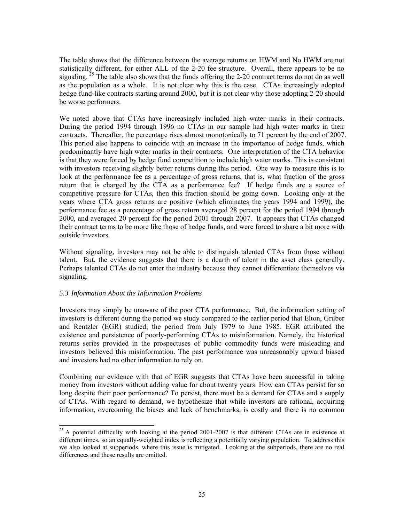<span id="page-26-0"></span>The table shows that the difference between the average returns on HWM and No HWM are not statistically different, for either ALL of the 2-20 fee structure. Overall, there appears to be no signaling.  $25$  The table also shows that the funds offering the 2-20 contract terms do not do as well as the population as a whole. It is not clear why this is the case. CTAs increasingly adopted hedge fund-like contracts starting around 2000, but it is not clear why those adopting 2-20 should be worse performers.

We noted above that CTAs have increasingly included high water marks in their contracts. During the period 1994 through 1996 no CTAs in our sample had high water marks in their contracts. Thereafter, the percentage rises almost monotonically to 71 percent by the end of 2007. This period also happens to coincide with an increase in the importance of hedge funds, which predominantly have high water marks in their contracts. One interpretation of the CTA behavior is that they were forced by hedge fund competition to include high water marks. This is consistent with investors receiving slightly better returns during this period. One way to measure this is to look at the performance fee as a percentage of gross returns, that is, what fraction of the gross return that is charged by the CTA as a performance fee? If hedge funds are a source of competitive pressure for CTAs, then this fraction should be going down. Looking only at the years where CTA gross returns are positive (which eliminates the years 1994 and 1999), the performance fee as a percentage of gross return averaged 28 percent for the period 1994 through 2000, and averaged 20 percent for the period 2001 through 2007. It appears that CTAs changed their contract terms to be more like those of hedge funds, and were forced to share a bit more with outside investors.

Without signaling, investors may not be able to distinguish talented CTAs from those without talent. But, the evidence suggests that there is a dearth of talent in the asset class generally. Perhaps talented CTAs do not enter the industry because they cannot differentiate themselves via signaling.

# *5.3 Information About the Information Problems*

 $\overline{a}$ 

Investors may simply be unaware of the poor CTA performance. But, the information setting of investors is different during the period we study compared to the earlier period that Elton, Gruber and Rentzler (EGR) studied, the period from July 1979 to June 1985. EGR attributed the existence and persistence of poorly-performing CTAs to misinformation. Namely, the historical returns series provided in the prospectuses of public commodity funds were misleading and investors believed this misinformation. The past performance was unreasonably upward biased and investors had no other information to rely on.

Combining our evidence with that of EGR suggests that CTAs have been successful in taking money from investors without adding value for about twenty years. How can CTAs persist for so long despite their poor performance? To persist, there must be a demand for CTAs and a supply of CTAs. With regard to demand, we hypothesize that while investors are rational, acquiring information, overcoming the biases and lack of benchmarks, is costly and there is no common

 $^{25}$  A potential difficulty with looking at the period 2001-2007 is that different CTAs are in existence at different times, so an equally-weighted index is reflecting a potentially varying population. To address this we also looked at subperiods, where this issue is mitigated. Looking at the subperiods, there are no real differences and these results are omitted.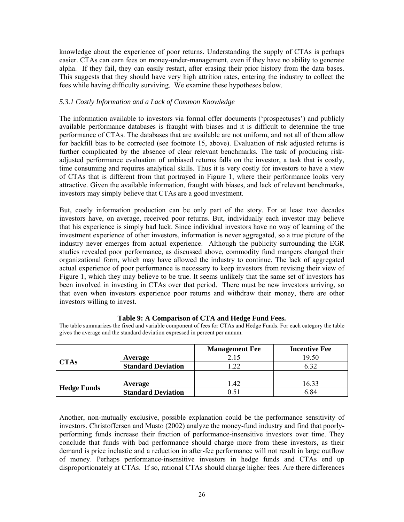knowledge about the experience of poor returns. Understanding the supply of CTAs is perhaps easier. CTAs can earn fees on money-under-management, even if they have no ability to generate alpha. If they fail, they can easily restart, after erasing their prior history from the data bases. This suggests that they should have very high attrition rates, entering the industry to collect the fees while having difficulty surviving. We examine these hypotheses below.

# *5.3.1 Costly Information and a Lack of Common Knowledge*

The information available to investors via formal offer documents ('prospectuses') and publicly available performance databases is fraught with biases and it is difficult to determine the true performance of CTAs. The databases that are available are not uniform, and not all of them allow for backfill bias to be corrected (see footnote 15, above). Evaluation of risk adjusted returns is further complicated by the absence of clear relevant benchmarks. The task of producing riskadjusted performance evaluation of unbiased returns falls on the investor, a task that is costly, time consuming and requires analytical skills. Thus it is very costly for investors to have a view of CTAs that is different from that portrayed in Figure 1, where their performance looks very attractive. Given the available information, fraught with biases, and lack of relevant benchmarks, investors may simply believe that CTAs are a good investment.

But, costly information production can be only part of the story. For at least two decades investors have, on average, received poor returns. But, individually each investor may believe that his experience is simply bad luck. Since individual investors have no way of learning of the investment experience of other investors, information is never aggregated, so a true picture of the industry never emerges from actual experience. Although the publicity surrounding the EGR studies revealed poor performance, as discussed above, commodity fund mangers changed their organizational form, which may have allowed the industry to continue. The lack of aggregated actual experience of poor performance is necessary to keep investors from revising their view of Figure 1, which they may believe to be true. It seems unlikely that the same set of investors has been involved in investing in CTAs over that period. There must be new investors arriving, so that even when investors experience poor returns and withdraw their money, there are other investors willing to invest.

|                    |                           | <b>Management Fee</b> | <b>Incentive Fee</b> |
|--------------------|---------------------------|-----------------------|----------------------|
| <b>CTAs</b>        | Average                   | 2.15                  | 19.50                |
|                    | <b>Standard Deviation</b> | l.22                  | 6.32                 |
|                    |                           |                       |                      |
|                    | Average                   | 1.42                  | 16.33                |
| <b>Hedge Funds</b> | <b>Standard Deviation</b> |                       | 6.84                 |

### **Table 9: A Comparison of CTA and Hedge Fund Fees.**

The table summarizes the fixed and variable component of fees for CTAs and Hedge Funds. For each category the table gives the average and the standard deviation expressed in percent per annum.

Another, non-mutually exclusive, possible explanation could be the performance sensitivity of investors. Christoffersen and Musto (2002) analyze the money-fund industry and find that poorlyperforming funds increase their fraction of performance-insensitive investors over time. They conclude that funds with bad performance should charge more from these investors, as their demand is price inelastic and a reduction in after-fee performance will not result in large outflow of money. Perhaps performance-insensitive investors in hedge funds and CTAs end up disproportionately at CTAs. If so, rational CTAs should charge higher fees. Are there differences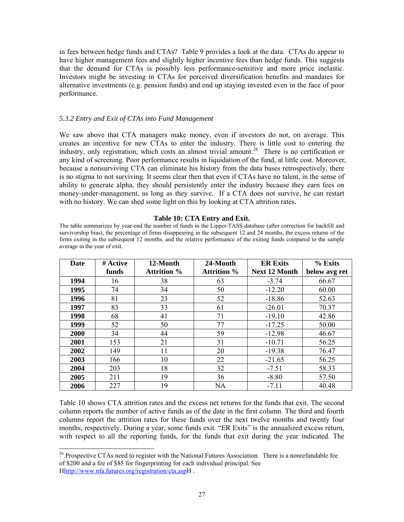<span id="page-28-0"></span>in fees between hedge funds and CTAs? Table 9 provides a look at the data. CTAs do appear to have higher management fees and slightly higher incentive fees than hedge funds. This suggests that the demand for CTAs is possibly less performance-sensitive and more price inelastic. Investors might be investing in CTAs for perceived diversification benefits and mandates for alternative investments (e.g. pension funds) and end up staying invested even in the face of poor performance.

# *5.3.2 Entry and Exit of CTAs into Fund Management*

We saw above that CTA managers make money, even if investors do not, on average. This creates an incentive for new CTAs to enter the industry. There is little cost to entering the industry, only registration, which costs an almost trivial amount.<sup>[26](#page-28-0)</sup> There is no certification or any kind of screening. Poor performance results in liquidation of the fund, at little cost. Moreover, because a nonsurviving CTA can eliminate his history from the data bases retrospectively, there is no stigma to not surviving. It seems clear then that even if CTAs have no talent, in the sense of ability to generate alpha, they should persistently enter the industry because they earn fees on money-under-management, as long as they survive. If a CTA does not survive, he can restart with no history. We can shed some light on this by looking at CTA attrition rates.

### **Table 10: CTA Entry and Exit.**

The table summarizes by year-end the number of funds in the Lipper-TASS database (after correction for backfill and survivorship bias), the percentage of firms disappearing in the subsequent 12 and 24 months, the excess returns of the firms exiting in the subsequent 12 months, and the relative performance of the exiting funds compared to the sample average in the year of exit.

| Date | # Active | 12-Month           | 24-Month           | <b>ER Exits</b>      | % Exits       |
|------|----------|--------------------|--------------------|----------------------|---------------|
|      | funds    | <b>Attrition</b> % | <b>Attrition</b> % | <b>Next 12 Month</b> | below avg ret |
| 1994 | 16       | 38                 | 63                 | $-3.74$              | 66.67         |
| 1995 | 74       | 34                 | 50                 | $-12.20$             | 60.00         |
| 1996 | 81       | 23                 | 52                 | $-18.86$             | 52.63         |
| 1997 | 83       | 33                 | 61                 | $-26.01$             | 70.37         |
| 1998 | 68       | 41                 | 71                 | $-19.10$             | 42.86         |
| 1999 | 52       | 50                 | 77                 | $-17.25$             | 50.00         |
| 2000 | 34       | 44                 | 59                 | $-12.98$             | 46.67         |
| 2001 | 153      | 21                 | 31                 | $-10.71$             | 56.25         |
| 2002 | 149      | 11                 | 20                 | $-19.38$             | 76.47         |
| 2003 | 166      | 10                 | 22                 | $-21.65$             | 56.25         |
| 2004 | 203      | 18                 | 32                 | $-7.51$              | 58.33         |
| 2005 | 211      | 19                 | 36                 | $-8.80$              | 57.50         |
| 2006 | 227      | 19                 | <b>NA</b>          | $-7.11$              | 40.48         |

Table 10 shows CTA attrition rates and the excess net returns for the funds that exit. The second column reports the number of active funds as of the date in the first column. The third and fourth columns report the attrition rates for these funds over the next twelve months and twenty four months, respectively. During a year, some funds exit. "ER Exits" is the annualized excess return, with respect to all the reporting funds, for the funds that exit during the year indicated. The

 $\overline{a}$ 

 $26$  Prospective CTAs need to register with the National Futures Association. There is a nonrefundable fee of \$200 and a fee of \$85 for fingerprinting for each individual principal. See Hhttp://www.nfa.futures.org/registration/cta.aspH .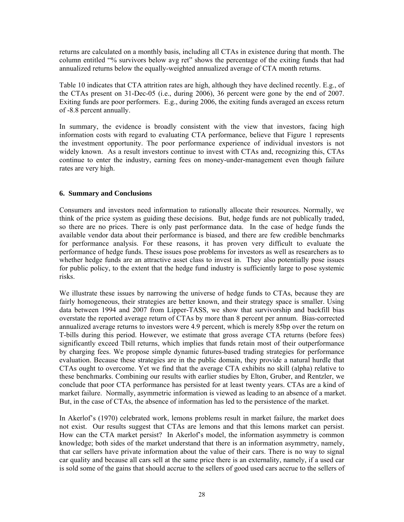returns are calculated on a monthly basis, including all CTAs in existence during that month. The column entitled "% survivors below avg ret" shows the percentage of the exiting funds that had annualized returns below the equally-weighted annualized average of CTA month returns.

Table 10 indicates that CTA attrition rates are high, although they have declined recently. E.g., of the CTAs present on 31-Dec-05 (i.e., during 2006), 36 percent were gone by the end of 2007. Exiting funds are poor performers. E.g., during 2006, the exiting funds averaged an excess return of -8.8 percent annually.

In summary, the evidence is broadly consistent with the view that investors, facing high information costs with regard to evaluating CTA performance, believe that Figure 1 represents the investment opportunity. The poor performance experience of individual investors is not widely known. As a result investors continue to invest with CTAs and, recognizing this, CTAs continue to enter the industry, earning fees on money-under-management even though failure rates are very high.

# **6. Summary and Conclusions**

Consumers and investors need information to rationally allocate their resources. Normally, we think of the price system as guiding these decisions. But, hedge funds are not publically traded, so there are no prices. There is only past performance data. In the case of hedge funds the available vendor data about their performance is biased, and there are few credible benchmarks for performance analysis. For these reasons, it has proven very difficult to evaluate the performance of hedge funds. These issues pose problems for investors as well as researchers as to whether hedge funds are an attractive asset class to invest in. They also potentially pose issues for public policy, to the extent that the hedge fund industry is sufficiently large to pose systemic risks.

We illustrate these issues by narrowing the universe of hedge funds to CTAs, because they are fairly homogeneous, their strategies are better known, and their strategy space is smaller. Using data between 1994 and 2007 from Lipper-TASS, we show that survivorship and backfill bias overstate the reported average return of CTAs by more than 8 percent per annum. Bias-corrected annualized average returns to investors were 4.9 percent, which is merely 85bp over the return on T-bills during this period. However, we estimate that gross average CTA returns (before fees) significantly exceed Tbill returns, which implies that funds retain most of their outperformance by charging fees. We propose simple dynamic futures-based trading strategies for performance evaluation. Because these strategies are in the public domain, they provide a natural hurdle that CTAs ought to overcome. Yet we find that the average CTA exhibits no skill (alpha) relative to these benchmarks. Combining our results with earlier studies by Elton, Gruber, and Rentzler, we conclude that poor CTA performance has persisted for at least twenty years. CTAs are a kind of market failure. Normally, asymmetric information is viewed as leading to an absence of a market. But, in the case of CTAs, the absence of information has led to the persistence of the market.

In Akerlof's (1970) celebrated work, lemons problems result in market failure, the market does not exist. Our results suggest that CTAs are lemons and that this lemons market can persist. How can the CTA market persist? In Akerlof's model, the information asymmetry is common knowledge; both sides of the market understand that there is an information asymmetry, namely, that car sellers have private information about the value of their cars. There is no way to signal car quality and because all cars sell at the same price there is an externality, namely, if a used car is sold some of the gains that should accrue to the sellers of good used cars accrue to the sellers of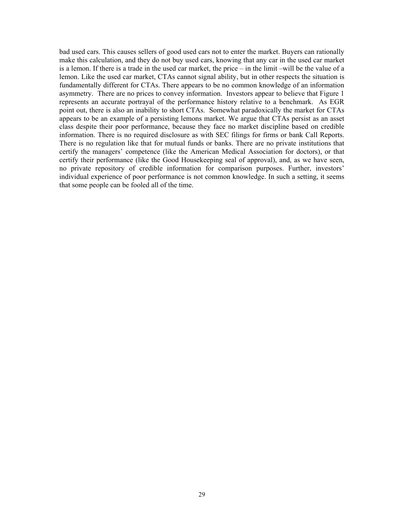bad used cars. This causes sellers of good used cars not to enter the market. Buyers can rationally make this calculation, and they do not buy used cars, knowing that any car in the used car market is a lemon. If there is a trade in the used car market, the price – in the limit –will be the value of a lemon. Like the used car market, CTAs cannot signal ability, but in other respects the situation is fundamentally different for CTAs. There appears to be no common knowledge of an information asymmetry. There are no prices to convey information. Investors appear to believe that Figure 1 represents an accurate portrayal of the performance history relative to a benchmark. As EGR point out, there is also an inability to short CTAs. Somewhat paradoxically the market for CTAs appears to be an example of a persisting lemons market. We argue that CTAs persist as an asset class despite their poor performance, because they face no market discipline based on credible information. There is no required disclosure as with SEC filings for firms or bank Call Reports. There is no regulation like that for mutual funds or banks. There are no private institutions that certify the managers' competence (like the American Medical Association for doctors), or that certify their performance (like the Good Housekeeping seal of approval), and, as we have seen, no private repository of credible information for comparison purposes. Further, investors' individual experience of poor performance is not common knowledge. In such a setting, it seems that some people can be fooled all of the time.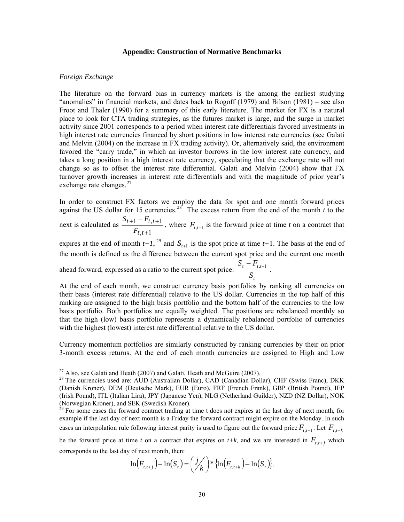#### **Appendix: Construction of Normative Benchmarks**

### <span id="page-31-0"></span>*Foreign Exchange*

 $\overline{a}$ 

The literature on the forward bias in currency markets is the among the earliest studying "anomalies" in financial markets, and dates back to Rogoff (1979) and Bilson (1981) – see also Froot and Thaler (1990) for a summary of this early literature. The market for FX is a natural place to look for CTA trading strategies, as the futures market is large, and the surge in market activity since 2001 corresponds to a period when interest rate differentials favored investments in high interest rate currencies financed by short positions in low interest rate currencies (see Galati and Melvin (2004) on the increase in FX trading activity). Or, alternatively said, the environment favored the "carry trade," in which an investor borrows in the low interest rate currency, and takes a long position in a high interest rate currency, speculating that the exchange rate will not change so as to offset the interest rate differential. Galati and Melvin (2004) show that FX turnover growth increases in interest rate differentials and with the magnitude of prior year's exchange rate changes.<sup>[27](#page-31-0)</sup>

In order to construct FX factors we employ the data for spot and one month forward prices against the US dollar for 15 currencies.<sup>[28](#page-31-0)</sup> The excess return from the end of the month  $t$  to the  $_{+1} - F_{t,t+}$  $S_{t+1} - F$ 

next is calculated as  $,t+1$  $1 - F_{t,t+1}$ + *tt*  $_{t+1} - r_{t,t}$ *F* , where  $F_{t,t+1}$  is the forward price at time *t* on a contract that

expires at the end of month  $t+1$ , <sup>[29](#page-31-0)</sup> and  $S_{t+1}$  is the spot price at time  $t+1$ . The basis at the end of the month is defined as the difference between the current spot price and the current one month ahead forward, expressed as a ratio to the current spot price: *t*  $t_t - T_{t,t}$ *S*  $\frac{S_t - F_{t,t+1}}{S_t}$ .

At the end of each month, we construct currency basis portfolios by ranking all currencies on their basis (interest rate differential) relative to the US dollar. Currencies in the top half of this ranking are assigned to the high basis portfolio and the bottom half of the currencies to the low basis portfolio. Both portfolios are equally weighted. The positions are rebalanced monthly so that the high (low) basis portfolio represents a dynamically rebalanced portfolio of currencies with the highest (lowest) interest rate differential relative to the US dollar.

Currency momentum portfolios are similarly constructed by ranking currencies by their on prior 3-month excess returns. At the end of each month currencies are assigned to High and Low

be the forward price at time *t* on a contract that expires on  $t+k$ , and we are interested in  $F_{t,t+j}$  which corresponds to the last day of next month, then:

$$
\ln(F_{t,t+j}) - \ln(S_t) = \left(\frac{j}{k}\right) * \{\ln(F_{t,t+k}) - \ln(S_t)\}.
$$

 $^{27}$  Also, see Galati and Heath (2007) and Galati, Heath and McGuire (2007).

<sup>&</sup>lt;sup>28</sup> The currencies used are: AUD (Australian Dollar), CAD (Canadian Dollar), CHF (Swiss Franc), DKK (Danish Kroner), DEM (Deutsche Mark), EUR (Euro), FRF (French Frank), GBP (British Pound), IEP (Irish Pound), ITL (Italian Lira), JPY (Japanese Yen), NLG (Netherland Guilder), NZD (NZ Dollar), NOK (Norwegian Kroner), and SEK (Swedish Kroner).

cases an interpolation rule following interest parity is used to figure out the forward price  $F_{t,t+1}$ . Let  $F_{t,t+k}$ <sup>29</sup> For some cases the forward contract trading at time t does not expires at the last day of next month, for example if the last day of next month is a Friday the forward contract might expire on the Monday. In such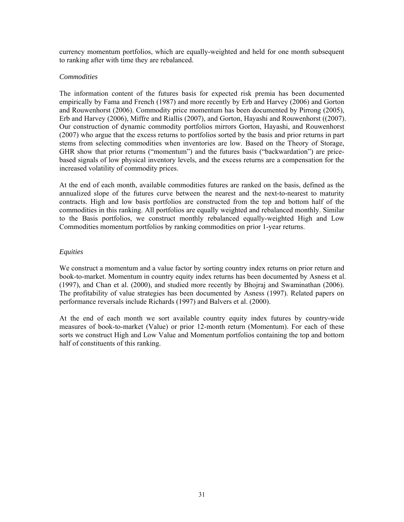currency momentum portfolios, which are equally-weighted and held for one month subsequent to ranking after with time they are rebalanced.

# *Commodities*

The information content of the futures basis for expected risk premia has been documented empirically by Fama and French (1987) and more recently by Erb and Harvey (2006) and Gorton and Rouwenhorst (2006). Commodity price momentum has been documented by Pirrong (2005), Erb and Harvey (2006), Miffre and Riallis (2007), and Gorton, Hayashi and Rouwenhorst ((2007). Our construction of dynamic commodity portfolios mirrors Gorton, Hayashi, and Rouwenhorst (2007) who argue that the excess returns to portfolios sorted by the basis and prior returns in part stems from selecting commodities when inventories are low. Based on the Theory of Storage, GHR show that prior returns ("momentum") and the futures basis ("backwardation") are pricebased signals of low physical inventory levels, and the excess returns are a compensation for the increased volatility of commodity prices.

At the end of each month, available commodities futures are ranked on the basis, defined as the annualized slope of the futures curve between the nearest and the next-to-nearest to maturity contracts. High and low basis portfolios are constructed from the top and bottom half of the commodities in this ranking. All portfolios are equally weighted and rebalanced monthly. Similar to the Basis portfolios, we construct monthly rebalanced equally-weighted High and Low Commodities momentum portfolios by ranking commodities on prior 1-year returns.

# *Equities*

We construct a momentum and a value factor by sorting country index returns on prior return and book-to-market. Momentum in country equity index returns has been documented by Asness et al. (1997), and Chan et al. (2000), and studied more recently by Bhojraj and Swaminathan (2006). The profitability of value strategies has been documented by Asness (1997). Related papers on performance reversals include Richards (1997) and Balvers et al. (2000).

At the end of each month we sort available country equity index futures by country-wide measures of book-to-market (Value) or prior 12-month return (Momentum). For each of these sorts we construct High and Low Value and Momentum portfolios containing the top and bottom half of constituents of this ranking.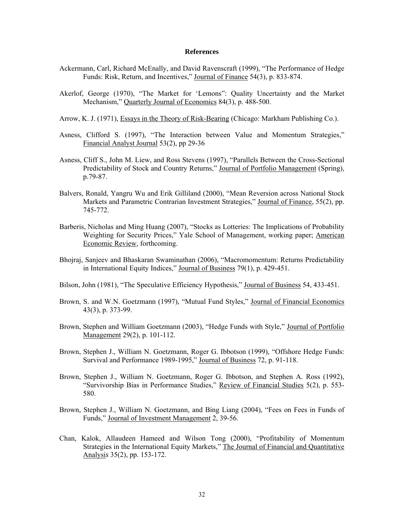#### **References**

- Ackermann, Carl, Richard McEnally, and David Ravenscraft (1999), "The Performance of Hedge Funds: Risk, Return, and Incentives," Journal of Finance 54(3), p. 833-874.
- Akerlof, George (1970), "The Market for 'Lemons": Quality Uncertainty and the Market Mechanism," Quarterly Journal of Economics 84(3), p. 488-500.
- Arrow, K. J. (1971), Essays in the Theory of Risk-Bearing (Chicago: Markham Publishing Co.).
- Asness, Clifford S. (1997), "The Interaction between Value and Momentum Strategies," Financial Analyst Journal 53(2), pp 29-36
- Asness, Cliff S., John M. Liew, and Ross Stevens (1997), "Parallels Between the Cross-Sectional Predictability of Stock and Country Returns," Journal of Portfolio Management (Spring), p.79-87.
- Balvers, Ronald, Yangru Wu and Erik Gilliland (2000), "Mean Reversion across National Stock Markets and Parametric Contrarian Investment Strategies," Journal of Finance, 55(2), pp. 745-772.
- Barberis, Nicholas and Ming Huang (2007), "Stocks as Lotteries: The Implications of Probability Weighting for Security Prices," Yale School of Management, working paper; American Economic Review, forthcoming.
- Bhojraj, Sanjeev and Bhaskaran Swaminathan (2006), "Macromomentum: Returns Predictability in International Equity Indices," Journal of Business 79(1), p. 429-451.
- Bilson, John (1981), "The Speculative Efficiency Hypothesis," Journal of Business 54, 433-451.
- Brown, S. and W.N. Goetzmann (1997), "Mutual Fund Styles," Journal of Financial Economics 43(3), p. 373-99.
- Brown, Stephen and William Goetzmann (2003), "Hedge Funds with Style," Journal of Portfolio Management 29(2), p. 101-112.
- Brown, Stephen J., William N. Goetzmann, Roger G. Ibbotson (1999), "Offshore Hedge Funds: Survival and Performance 1989-1995," Journal of Business 72, p. 91-118.
- Brown, Stephen J., William N. Goetzmann, Roger G. Ibbotson, and Stephen A. Ross (1992), "Survivorship Bias in Performance Studies," Review of Financial Studies 5(2), p. 553- 580.
- Brown, Stephen J., William N. Goetzmann, and Bing Liang (2004), "Fees on Fees in Funds of Funds," Journal of Investment Management 2, 39-56.
- Chan, Kalok, Allaudeen Hameed and Wilson Tong (2000), "Profitability of Momentum Strategies in the International Equity Markets," The Journal of Financial and Quantitative Analysi*s* 35(2), pp. 153-172.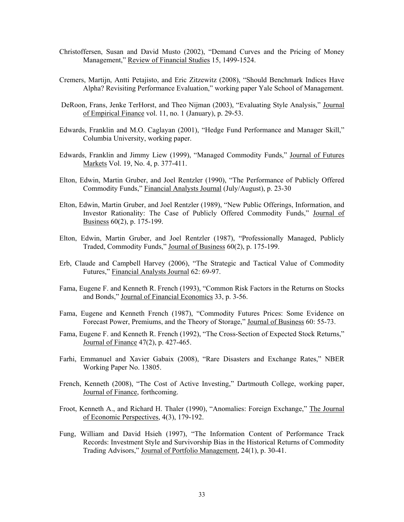- Christoffersen, Susan and David Musto (2002), "Demand Curves and the Pricing of Money Management," Review of Financial Studies 15, 1499-1524.
- Cremers, Martijn, Antti Petajisto, and Eric Zitzewitz (2008), "Should Benchmark Indices Have Alpha? Revisiting Performance Evaluation," working paper Yale School of Management.
- DeRoon, Frans, Jenke TerHorst, and Theo Nijman (2003), "Evaluating Style Analysis," Journal of Empirical Finance vol. 11, no. 1 (January), p. 29-53.
- Edwards, Franklin and M.O. Caglayan (2001), "Hedge Fund Performance and Manager Skill," Columbia University, working paper.
- Edwards, Franklin and Jimmy Liew (1999), "Managed Commodity Funds," Journal of Futures Markets Vol. 19, No. 4, p. 377-411.
- Elton, Edwin, Martin Gruber, and Joel Rentzler (1990), "The Performance of Publicly Offered Commodity Funds," Financial Analysts Journal (July/August), p. 23-30
- Elton, Edwin, Martin Gruber, and Joel Rentzler (1989), "New Public Offerings, Information, and Investor Rationality: The Case of Publicly Offered Commodity Funds," Journal of Business 60(2), p. 175-199.
- Elton, Edwin, Martin Gruber, and Joel Rentzler (1987), "Professionally Managed, Publicly Traded, Commodity Funds," Journal of Business 60(2), p. 175-199.
- Erb, Claude and Campbell Harvey (2006), "The Strategic and Tactical Value of Commodity Futures," Financial Analysts Journal 62: 69-97.
- Fama, Eugene F. and Kenneth R. French (1993), "Common Risk Factors in the Returns on Stocks and Bonds," Journal of Financial Economics 33, p. 3-56.
- Fama, Eugene and Kenneth French (1987), "Commodity Futures Prices: Some Evidence on Forecast Power, Premiums, and the Theory of Storage," Journal of Business 60: 55-73.
- Fama, Eugene F. and Kenneth R. French (1992), "The Cross-Section of Expected Stock Returns," Journal of Finance 47(2), p. 427-465.
- Farhi, Emmanuel and Xavier Gabaix (2008), "Rare Disasters and Exchange Rates," NBER Working Paper No. 13805.
- French, Kenneth (2008), "The Cost of Active Investing," Dartmouth College, working paper, Journal of Finance, forthcoming.
- Froot, Kenneth A., and Richard H. Thaler (1990), "Anomalies: Foreign Exchange," The Journal of Economic Perspectives, 4(3), 179-192.
- Fung, William and David Hsieh (1997), "The Information Content of Performance Track Records: Investment Style and Survivorship Bias in the Historical Returns of Commodity Trading Advisors," Journal of Portfolio Management, 24(1), p. 30-41.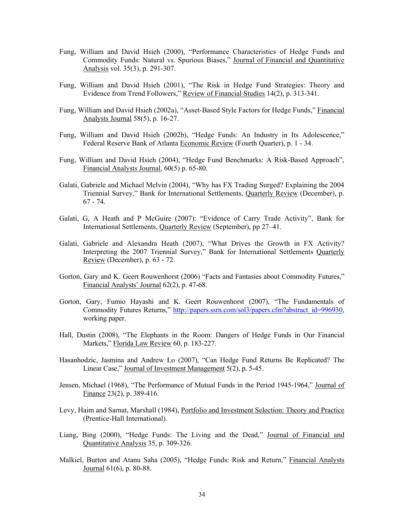- Fung, William and David Hsieh (2000), "Performance Characteristics of Hedge Funds and Commodity Funds: Natural vs. Spurious Biases," Journal of Financial and Quantitative Analysis vol. 35(3), p. 291-307.
- Fung, William and David Hsieh (2001), "The Risk in Hedge Fund Strategies: Theory and Evidence from Trend Followers," Review of Financial Studies 14(2), p. 313-341.
- Fung, William and David Hsieh (2002a), "Asset-Based Style Factors for Hedge Funds," Financial Analysts Journal 58(5), p. 16-27.
- Fung, William and David Hsieh (2002b), "Hedge Funds: An Industry in Its Adolescence," Federal Reserve Bank of Atlanta Economic Review (Fourth Quarter), p. 1 - 34.
- Fung, William and David Hsieh (2004), "Hedge Fund Benchmarks: A Risk-Based Approach", Financial Analysts Journal, 60(5) p. 65-80.
- Galati, Gabriele and Michael Melvin (2004), "Why has FX Trading Surged? Explaining the 2004 Triennial Survey," Bank for International Settlements, Quarterly Review (December), p. 67 - 74.
- Galati, G, A Heath and P McGuire (2007): "Evidence of Carry Trade Activity", Bank for International Settlements, Quarterly Review (September), pp 27–41.
- Galati, Gabriele and Alexandra Heath (2007), "What Drives the Growth in FX Activity? Interpreting the 2007 Triennial Survey," Bank for International Settlements Quarterly Review (December), p. 63 - 72.
- Gorton, Gary and K. Geert Rouwenhorst (2006) "Facts and Fantasies about Commodity Futures," Financial Analysts' Journal 62(2), p. 47-68.
- Gorton, Gary, Fumio Hayashi and K. Geert Rouwenhorst (2007), "The Fundamentals of Commodity Futures Returns," [http://papers.ssrn.com/sol3/papers.cfm?abstract\\_id=996930](http://papers.ssrn.com/sol3/papers.cfm?abstract_id=996930). working paper.
- Hall, Dustin (2008), "The Elephants in the Room: Dangers of Hedge Funds in Our Financial Markets," Florida Law Review 60, p. 183-227.
- Hasanhodzic, Jasmina and Andrew Lo (2007), "Can Hedge Fund Returns Be Replicated? The Linear Case," Journal of Investment Management 5(2), p. 5-45.
- Jensen, Michael (1968), "The Performance of Mutual Funds in the Period 1945-1964," Journal of Finance 23(2), p. 389-416.
- Levy, Haim and Sarnat, Marshall (1984), Portfolio and Investment Selection: Theory and Practice (Prentice-Hall International).
- Liang, Bing (2000), "Hedge Funds: The Living and the Dead," Journal of Financial and Quantitative Analysis 35, p. 309-326.
- Malkiel, Burton and Atanu Saha (2005), "Hedge Funds: Risk and Return," Financial Analysts Journal 61(6), p. 80-88.